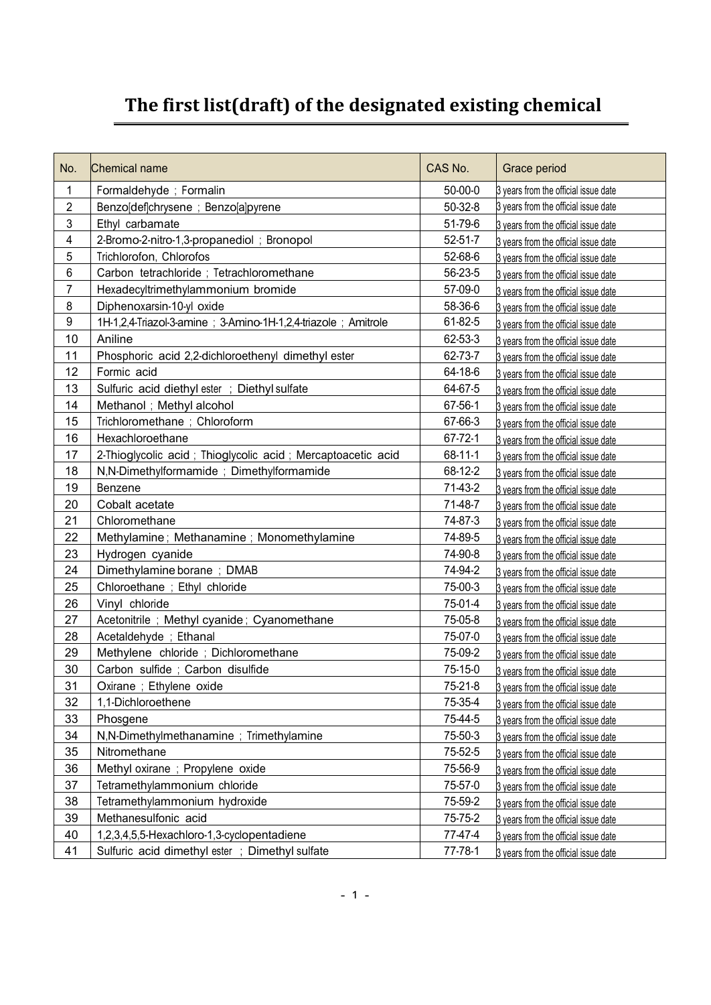## **The first list(draft) of the designated existing chemical**

| No.                     | Chemical name                                                 | CAS No. | Grace period                         |
|-------------------------|---------------------------------------------------------------|---------|--------------------------------------|
| 1                       | Formaldehyde; Formalin                                        | 50-00-0 | 3 years from the official issue date |
| 2                       | Benzo[def]chrysene ; Benzo[a]pyrene                           | 50-32-8 | 3 years from the official issue date |
| 3                       | Ethyl carbamate                                               | 51-79-6 | 3 years from the official issue date |
| $\overline{\mathbf{4}}$ | 2-Bromo-2-nitro-1,3-propanediol; Bronopol                     | 52-51-7 | 3 years from the official issue date |
| 5                       | Trichlorofon, Chlorofos                                       | 52-68-6 | 3 years from the official issue date |
| $\,6\,$                 | Carbon tetrachloride ; Tetrachloromethane                     | 56-23-5 | 3 years from the official issue date |
| $\overline{7}$          | Hexadecyltrimethylammonium bromide                            | 57-09-0 | 3 years from the official issue date |
| 8                       | Diphenoxarsin-10-yl oxide                                     | 58-36-6 | 3 years from the official issue date |
| $\boldsymbol{9}$        | 1H-1,2,4-Triazol-3-amine; 3-Amino-1H-1,2,4-triazole; Amitrole | 61-82-5 | 3 years from the official issue date |
| 10                      | Aniline                                                       | 62-53-3 | 3 years from the official issue date |
| 11                      | Phosphoric acid 2,2-dichloroethenyl dimethyl ester            | 62-73-7 | 3 years from the official issue date |
| 12                      | Formic acid                                                   | 64-18-6 | 3 years from the official issue date |
| 13                      | Sulfuric acid diethyl ester ; Diethyl sulfate                 | 64-67-5 | 3 years from the official issue date |
| 14                      | Methanol ; Methyl alcohol                                     | 67-56-1 | 3 years from the official issue date |
| 15                      | Trichloromethane; Chloroform                                  | 67-66-3 | 3 years from the official issue date |
| 16                      | Hexachloroethane                                              | 67-72-1 | 3 years from the official issue date |
| 17                      | 2-Thioglycolic acid ; Thioglycolic acid ; Mercaptoacetic acid | 68-11-1 | 3 years from the official issue date |
| 18                      | N,N-Dimethylformamide; Dimethylformamide                      | 68-12-2 | 3 years from the official issue date |
| 19                      | Benzene                                                       | 71-43-2 | 3 years from the official issue date |
| 20                      | Cobalt acetate                                                | 71-48-7 | 3 years from the official issue date |
| 21                      | Chloromethane                                                 | 74-87-3 | 3 years from the official issue date |
| 22                      | Methylamine; Methanamine; Monomethylamine                     | 74-89-5 | 3 years from the official issue date |
| 23                      | Hydrogen cyanide                                              | 74-90-8 | 3 years from the official issue date |
| 24                      | Dimethylamine borane; DMAB                                    | 74-94-2 | 3 years from the official issue date |
| 25                      | Chloroethane ; Ethyl chloride                                 | 75-00-3 | 3 years from the official issue date |
| 26                      | Vinyl chloride                                                | 75-01-4 | 3 years from the official issue date |
| 27                      | Acetonitrile ; Methyl cyanide; Cyanomethane                   | 75-05-8 | 3 years from the official issue date |
| 28                      | Acetaldehyde ; Ethanal                                        | 75-07-0 | 3 years from the official issue date |
| 29                      | Methylene chloride ; Dichloromethane                          | 75-09-2 | 3 years from the official issue date |
| 30                      | Carbon sulfide ; Carbon disulfide                             | 75-15-0 | 3 years from the official issue date |
| 31                      | Oxirane ; Ethylene oxide                                      | 75-21-8 | 3 years from the official issue date |
| 32                      | 1,1-Dichloroethene                                            | 75-35-4 | 3 years from the official issue date |
| 33                      | Phosgene                                                      | 75-44-5 | 3 years from the official issue date |
| 34                      | N,N-Dimethylmethanamine; Trimethylamine                       | 75-50-3 | 3 years from the official issue date |
| 35                      | Nitromethane                                                  | 75-52-5 | 3 years from the official issue date |
| 36                      | Methyl oxirane ; Propylene oxide                              | 75-56-9 | 3 years from the official issue date |
| 37                      | Tetramethylammonium chloride                                  | 75-57-0 | 3 years from the official issue date |
| 38                      | Tetramethylammonium hydroxide                                 | 75-59-2 | 3 years from the official issue date |
| 39                      | Methanesulfonic acid                                          | 75-75-2 | 3 years from the official issue date |
| 40                      | 1,2,3,4,5,5-Hexachloro-1,3-cyclopentadiene                    | 77-47-4 | 3 years from the official issue date |
| 41                      | Sulfuric acid dimethyl ester ; Dimethyl sulfate               | 77-78-1 | 3 years from the official issue date |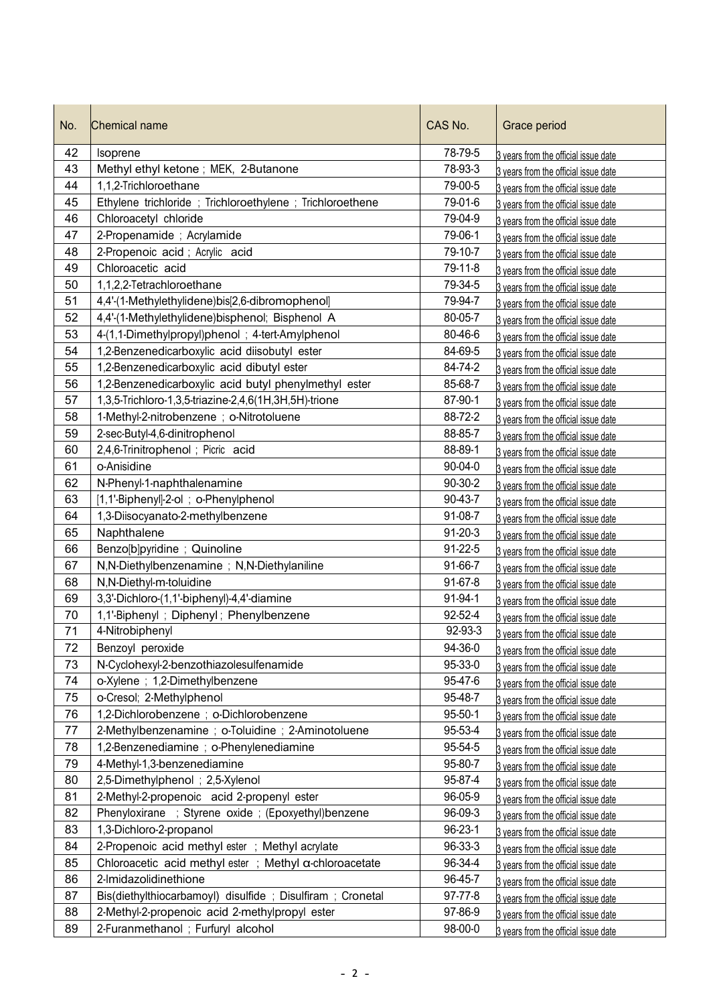| No. | Chemical name                                                   | CAS No. | Grace period                         |
|-----|-----------------------------------------------------------------|---------|--------------------------------------|
| 42  | Isoprene                                                        | 78-79-5 | 3 years from the official issue date |
| 43  | Methyl ethyl ketone; MEK, 2-Butanone                            | 78-93-3 | 3 years from the official issue date |
| 44  | 1,1,2-Trichloroethane                                           | 79-00-5 | 3 years from the official issue date |
| 45  | Ethylene trichloride; Trichloroethylene; Trichloroethene        | 79-01-6 | 3 years from the official issue date |
| 46  | Chloroacetyl chloride                                           | 79-04-9 | 3 vears from the official issue date |
| 47  | 2-Propenamide ; Acrylamide                                      | 79-06-1 | 3 years from the official issue date |
| 48  | 2-Propenoic acid ; Acrylic acid                                 | 79-10-7 | 3 years from the official issue date |
| 49  | Chloroacetic acid                                               | 79-11-8 | 3 years from the official issue date |
| 50  | 1,1,2,2-Tetrachloroethane                                       | 79-34-5 | 3 years from the official issue date |
| 51  | 4,4'-(1-Methylethylidene)bis[2,6-dibromophenol]                 | 79-94-7 | 3 years from the official issue date |
| 52  | 4,4'-(1-Methylethylidene)bisphenol; Bisphenol A                 | 80-05-7 | 3 years from the official issue date |
| 53  | 4-(1,1-Dimethylpropyl)phenol; 4-tert-Amylphenol                 | 80-46-6 | 3 vears from the official issue date |
| 54  | 1,2-Benzenedicarboxylic acid diisobutyl ester                   | 84-69-5 | 3 years from the official issue date |
| 55  | 1,2-Benzenedicarboxylic acid dibutyl ester                      | 84-74-2 | 3 years from the official issue date |
| 56  | 1,2-Benzenedicarboxylic acid butyl phenylmethyl ester           | 85-68-7 | 3 years from the official issue date |
| 57  | 1,3,5-Trichloro-1,3,5-triazine-2,4,6(1H,3H,5H)-trione           | 87-90-1 | 3 years from the official issue date |
| 58  | 1-Methyl-2-nitrobenzene; o-Nitrotoluene                         | 88-72-2 | 3 years from the official issue date |
| 59  | 2-sec-Butyl-4,6-dinitrophenol                                   | 88-85-7 | 3 years from the official issue date |
| 60  | 2,4,6-Trinitrophenol ; Picric acid                              | 88-89-1 | 3 years from the official issue date |
| 61  | o-Anisidine                                                     | 90-04-0 | 3 years from the official issue date |
| 62  | N-Phenyl-1-naphthalenamine                                      | 90-30-2 | 3 years from the official issue date |
| 63  | [1,1'-Biphenyl]-2-ol; o-Phenylphenol                            | 90-43-7 | 3 years from the official issue date |
| 64  | 1,3-Diisocyanato-2-methylbenzene                                | 91-08-7 | 3 years from the official issue date |
| 65  | Naphthalene                                                     | 91-20-3 | 3 years from the official issue date |
| 66  | Benzo[b]pyridine ; Quinoline                                    | 91-22-5 | 3 years from the official issue date |
| 67  | N,N-Diethylbenzenamine; N,N-Diethylaniline                      | 91-66-7 | 3 years from the official issue date |
| 68  | N,N-Diethyl-m-toluidine                                         | 91-67-8 | 3 years from the official issue date |
| 69  | 3,3'-Dichloro-(1,1'-biphenyl)-4,4'-diamine                      | 91-94-1 | 3 years from the official issue date |
| 70  | 1,1'-Biphenyl ; Diphenyl; Phenylbenzene                         | 92-52-4 | 3 years from the official issue date |
| 71  | 4-Nitrobiphenyl                                                 | 92-93-3 | 3 years from the official issue date |
| 72  | Benzoyl peroxide                                                | 94-36-0 | 3 years from the official issue date |
| 73  | N-Cyclohexyl-2-benzothiazolesulfenamide                         | 95-33-0 | 3 years from the official issue date |
| 74  | o-Xylene ; 1,2-Dimethylbenzene                                  | 95-47-6 | 3 years from the official issue date |
| 75  | o-Cresol; 2-Methylphenol                                        | 95-48-7 | 3 years from the official issue date |
| 76  | 1,2-Dichlorobenzene ; o-Dichlorobenzene                         | 95-50-1 | 3 years from the official issue date |
| 77  | 2-Methylbenzenamine ; o-Toluidine ; 2-Aminotoluene              | 95-53-4 | 3 years from the official issue date |
| 78  | 1,2-Benzenediamine ; o-Phenylenediamine                         | 95-54-5 | 3 years from the official issue date |
| 79  | 4-Methyl-1,3-benzenediamine                                     | 95-80-7 | 3 years from the official issue date |
| 80  | 2,5-Dimethylphenol; 2,5-Xylenol                                 | 95-87-4 | 3 years from the official issue date |
| 81  | 2-Methyl-2-propenoic acid 2-propenyl ester                      | 96-05-9 | 3 years from the official issue date |
| 82  | Phenyloxirane ; Styrene oxide ; (Epoxyethyl)benzene             | 96-09-3 | 3 years from the official issue date |
| 83  | 1,3-Dichloro-2-propanol                                         | 96-23-1 | 3 years from the official issue date |
| 84  | 2-Propenoic acid methyl ester ; Methyl acrylate                 | 96-33-3 | 3 years from the official issue date |
| 85  | Chloroacetic acid methyl ester ; Methyl $\alpha$ -chloroacetate | 96-34-4 | 3 years from the official issue date |
| 86  | 2-Imidazolidinethione                                           | 96-45-7 | 3 years from the official issue date |
| 87  | Bis(diethylthiocarbamoyl) disulfide; Disulfiram; Cronetal       | 97-77-8 | 3 years from the official issue date |
| 88  | 2-Methyl-2-propenoic acid 2-methylpropyl ester                  | 97-86-9 | 3 years from the official issue date |
| 89  | 2-Furanmethanol ; Furfuryl alcohol                              | 98-00-0 | 3 years from the official issue date |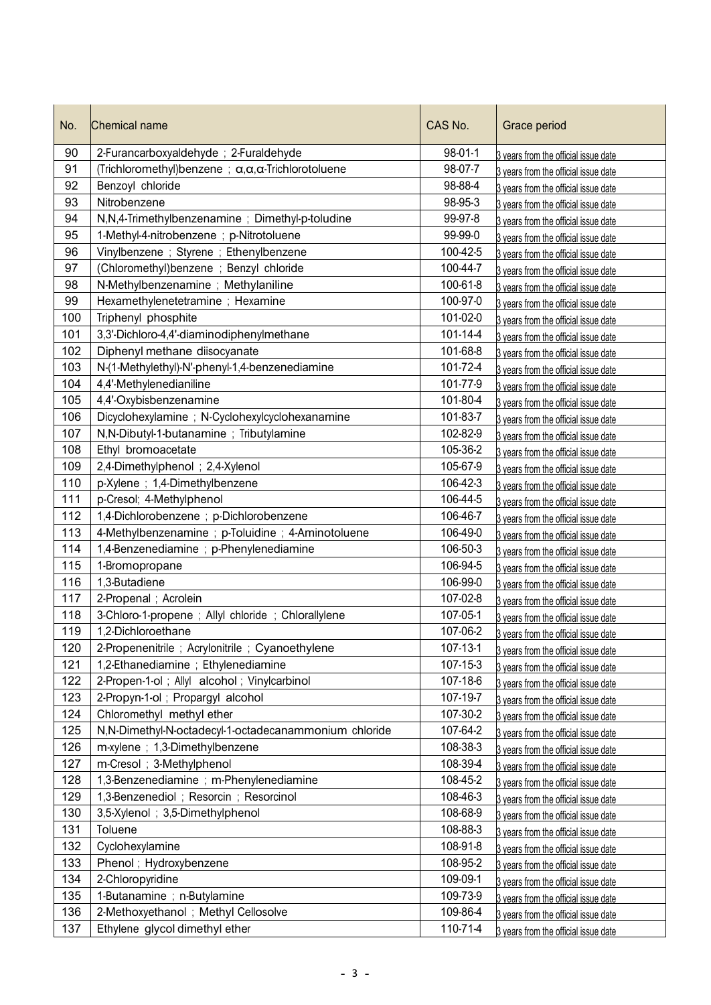| 98-01-1<br>90<br>2-Furancarboxyaldehyde ; 2-Furaldehyde<br>3 years from the official issue date<br>(Trichloromethyl) benzene ; α, α, α-Trichlorotoluene<br>98-07-7<br>91<br>3 years from the official issue date<br>Benzoyl chloride<br>92<br>98-88-4<br>3 years from the official issue date<br>93<br>Nitrobenzene<br>98-95-3<br>3 years from the official issue date<br>94<br>N,N,4-Trimethylbenzenamine; Dimethyl-p-toludine<br>99-97-8<br>3 years from the official issue date<br>1-Methyl-4-nitrobenzene; p-Nitrotoluene<br>95<br>99-99-0<br>3 years from the official issue date<br>Vinylbenzene ; Styrene ; Ethenylbenzene<br>100-42-5<br>96<br>3 years from the official issue date<br>97<br>(Chloromethyl)benzene ; Benzyl chloride<br>100-44-7<br>3 years from the official issue date<br>98<br>N-Methylbenzenamine; Methylaniline<br>100-61-8<br>3 years from the official issue date<br>99<br>Hexamethylenetetramine; Hexamine<br>100-97-0<br>3 years from the official issue date<br>100<br>Triphenyl phosphite<br>101-02-0<br>3 years from the official issue date<br>101<br>3,3'-Dichloro-4,4'-diaminodiphenylmethane<br>101-14-4<br>3 years from the official issue date<br>102<br>Diphenyl methane diisocyanate<br>101-68-8<br>3 years from the official issue date<br>103<br>N-(1-Methylethyl)-N'-phenyl-1,4-benzenediamine<br>101-72-4<br>3 years from the official issue date<br>104<br>4,4'-Methylenedianiline<br>101-77-9<br>3 years from the official issue date<br>105<br>4,4'-Oxybisbenzenamine<br>101-80-4<br>3 years from the official issue date<br>106<br>Dicyclohexylamine; N-Cyclohexylcyclohexanamine<br>101-83-7<br>3 years from the official issue date<br>107<br>N,N-Dibutyl-1-butanamine; Tributylamine<br>102-82-9<br>3 years from the official issue date<br>108<br>Ethyl bromoacetate<br>105-36-2<br>3 years from the official issue date<br>105-67-9<br>109<br>2,4-Dimethylphenol; 2,4-Xylenol<br>3 years from the official issue date<br>110<br>p-Xylene ; 1,4-Dimethylbenzene<br>106-42-3<br>3 years from the official issue date<br>111<br>p-Cresol; 4-Methylphenol<br>106-44-5<br>3 years from the official issue date<br>112<br>1,4-Dichlorobenzene ; p-Dichlorobenzene<br>106-46-7<br>3 years from the official issue date<br>4-Methylbenzenamine ; p-Toluidine ; 4-Aminotoluene<br>113<br>106-49-0<br>3 years from the official issue date<br>1,4-Benzenediamine ; p-Phenylenediamine<br>106-50-3<br>114<br>3 years from the official issue date<br>106-94-5<br>115<br>1-Bromopropane<br>3 years from the official issue date<br>116<br>1,3-Butadiene<br>106-99-0<br>3 years from the official issue date<br>117<br>2-Propenal ; Acrolein<br>107-02-8<br>3 years from the official issue date<br>118<br>3-Chloro-1-propene; Allyl chloride; Chlorallylene<br>107-05-1<br>3 years from the official issue date<br>119<br>1,2-Dichloroethane<br>107-06-2<br>3 years from the official issue date<br>120<br>2-Propenenitrile ; Acrylonitrile ; Cyanoethylene<br>107-13-1<br>3 years from the official issue date<br>121<br>1,2-Ethanediamine ; Ethylenediamine<br>107-15-3<br>3 years from the official issue date<br>2-Propen-1-ol; Allyl alcohol; Vinylcarbinol<br>122<br>107-18-6<br>3 years from the official issue date<br>123<br>2-Propyn-1-ol ; Propargyl alcohol<br>107-19-7<br>3 years from the official issue date<br>124<br>Chloromethyl methyl ether<br>107-30-2<br>3 years from the official issue date<br>125<br>107-64-2<br>N,N-Dimethyl-N-octadecyl-1-octadecanammonium chloride<br>3 years from the official issue date<br>126<br>m-xylene; 1,3-Dimethylbenzene<br>108-38-3<br>3 years from the official issue date<br>127<br>m-Cresol; 3-Methylphenol<br>108-39-4<br>3 years from the official issue date<br>128<br>1,3-Benzenediamine ; m-Phenylenediamine<br>108-45-2<br>3 years from the official issue date<br>129<br>1,3-Benzenediol ; Resorcin ; Resorcinol<br>108-46-3<br>3 years from the official issue date<br>130<br>3,5-Xylenol ; 3,5-Dimethylphenol<br>108-68-9<br>3 years from the official issue date<br>131<br>Toluene<br>108-88-3<br>3 years from the official issue date<br>132<br>108-91-8<br>Cyclohexylamine<br>3 years from the official issue date<br>133<br>Phenol ; Hydroxybenzene<br>108-95-2<br>3 years from the official issue date<br>134<br>2-Chloropyridine<br>109-09-1<br>3 years from the official issue date<br>135<br>1-Butanamine ; n-Butylamine<br>109-73-9<br>3 years from the official issue date<br>136<br>2-Methoxyethanol ; Methyl Cellosolve<br>109-86-4<br>3 years from the official issue date<br>137<br>Ethylene glycol dimethyl ether<br>110-71-4<br>3 years from the official issue date | No. | Chemical name | CAS No. | Grace period |
|-------------------------------------------------------------------------------------------------------------------------------------------------------------------------------------------------------------------------------------------------------------------------------------------------------------------------------------------------------------------------------------------------------------------------------------------------------------------------------------------------------------------------------------------------------------------------------------------------------------------------------------------------------------------------------------------------------------------------------------------------------------------------------------------------------------------------------------------------------------------------------------------------------------------------------------------------------------------------------------------------------------------------------------------------------------------------------------------------------------------------------------------------------------------------------------------------------------------------------------------------------------------------------------------------------------------------------------------------------------------------------------------------------------------------------------------------------------------------------------------------------------------------------------------------------------------------------------------------------------------------------------------------------------------------------------------------------------------------------------------------------------------------------------------------------------------------------------------------------------------------------------------------------------------------------------------------------------------------------------------------------------------------------------------------------------------------------------------------------------------------------------------------------------------------------------------------------------------------------------------------------------------------------------------------------------------------------------------------------------------------------------------------------------------------------------------------------------------------------------------------------------------------------------------------------------------------------------------------------------------------------------------------------------------------------------------------------------------------------------------------------------------------------------------------------------------------------------------------------------------------------------------------------------------------------------------------------------------------------------------------------------------------------------------------------------------------------------------------------------------------------------------------------------------------------------------------------------------------------------------------------------------------------------------------------------------------------------------------------------------------------------------------------------------------------------------------------------------------------------------------------------------------------------------------------------------------------------------------------------------------------------------------------------------------------------------------------------------------------------------------------------------------------------------------------------------------------------------------------------------------------------------------------------------------------------------------------------------------------------------------------------------------------------------------------------------------------------------------------------------------------------------------------------------------------------------------------------------------------------------------------------------------------------------------------------------------------------------------------------------------------------------------------------------------------------------------------------------------------------------------------------------------------------------------------------------------------------------------------------------------------------------------------------------------------------------------------|-----|---------------|---------|--------------|
|                                                                                                                                                                                                                                                                                                                                                                                                                                                                                                                                                                                                                                                                                                                                                                                                                                                                                                                                                                                                                                                                                                                                                                                                                                                                                                                                                                                                                                                                                                                                                                                                                                                                                                                                                                                                                                                                                                                                                                                                                                                                                                                                                                                                                                                                                                                                                                                                                                                                                                                                                                                                                                                                                                                                                                                                                                                                                                                                                                                                                                                                                                                                                                                                                                                                                                                                                                                                                                                                                                                                                                                                                                                                                                                                                                                                                                                                                                                                                                                                                                                                                                                                                                                                                                                                                                                                                                                                                                                                                                                                                                                                                                                                                                       |     |               |         |              |
|                                                                                                                                                                                                                                                                                                                                                                                                                                                                                                                                                                                                                                                                                                                                                                                                                                                                                                                                                                                                                                                                                                                                                                                                                                                                                                                                                                                                                                                                                                                                                                                                                                                                                                                                                                                                                                                                                                                                                                                                                                                                                                                                                                                                                                                                                                                                                                                                                                                                                                                                                                                                                                                                                                                                                                                                                                                                                                                                                                                                                                                                                                                                                                                                                                                                                                                                                                                                                                                                                                                                                                                                                                                                                                                                                                                                                                                                                                                                                                                                                                                                                                                                                                                                                                                                                                                                                                                                                                                                                                                                                                                                                                                                                                       |     |               |         |              |
|                                                                                                                                                                                                                                                                                                                                                                                                                                                                                                                                                                                                                                                                                                                                                                                                                                                                                                                                                                                                                                                                                                                                                                                                                                                                                                                                                                                                                                                                                                                                                                                                                                                                                                                                                                                                                                                                                                                                                                                                                                                                                                                                                                                                                                                                                                                                                                                                                                                                                                                                                                                                                                                                                                                                                                                                                                                                                                                                                                                                                                                                                                                                                                                                                                                                                                                                                                                                                                                                                                                                                                                                                                                                                                                                                                                                                                                                                                                                                                                                                                                                                                                                                                                                                                                                                                                                                                                                                                                                                                                                                                                                                                                                                                       |     |               |         |              |
|                                                                                                                                                                                                                                                                                                                                                                                                                                                                                                                                                                                                                                                                                                                                                                                                                                                                                                                                                                                                                                                                                                                                                                                                                                                                                                                                                                                                                                                                                                                                                                                                                                                                                                                                                                                                                                                                                                                                                                                                                                                                                                                                                                                                                                                                                                                                                                                                                                                                                                                                                                                                                                                                                                                                                                                                                                                                                                                                                                                                                                                                                                                                                                                                                                                                                                                                                                                                                                                                                                                                                                                                                                                                                                                                                                                                                                                                                                                                                                                                                                                                                                                                                                                                                                                                                                                                                                                                                                                                                                                                                                                                                                                                                                       |     |               |         |              |
|                                                                                                                                                                                                                                                                                                                                                                                                                                                                                                                                                                                                                                                                                                                                                                                                                                                                                                                                                                                                                                                                                                                                                                                                                                                                                                                                                                                                                                                                                                                                                                                                                                                                                                                                                                                                                                                                                                                                                                                                                                                                                                                                                                                                                                                                                                                                                                                                                                                                                                                                                                                                                                                                                                                                                                                                                                                                                                                                                                                                                                                                                                                                                                                                                                                                                                                                                                                                                                                                                                                                                                                                                                                                                                                                                                                                                                                                                                                                                                                                                                                                                                                                                                                                                                                                                                                                                                                                                                                                                                                                                                                                                                                                                                       |     |               |         |              |
|                                                                                                                                                                                                                                                                                                                                                                                                                                                                                                                                                                                                                                                                                                                                                                                                                                                                                                                                                                                                                                                                                                                                                                                                                                                                                                                                                                                                                                                                                                                                                                                                                                                                                                                                                                                                                                                                                                                                                                                                                                                                                                                                                                                                                                                                                                                                                                                                                                                                                                                                                                                                                                                                                                                                                                                                                                                                                                                                                                                                                                                                                                                                                                                                                                                                                                                                                                                                                                                                                                                                                                                                                                                                                                                                                                                                                                                                                                                                                                                                                                                                                                                                                                                                                                                                                                                                                                                                                                                                                                                                                                                                                                                                                                       |     |               |         |              |
|                                                                                                                                                                                                                                                                                                                                                                                                                                                                                                                                                                                                                                                                                                                                                                                                                                                                                                                                                                                                                                                                                                                                                                                                                                                                                                                                                                                                                                                                                                                                                                                                                                                                                                                                                                                                                                                                                                                                                                                                                                                                                                                                                                                                                                                                                                                                                                                                                                                                                                                                                                                                                                                                                                                                                                                                                                                                                                                                                                                                                                                                                                                                                                                                                                                                                                                                                                                                                                                                                                                                                                                                                                                                                                                                                                                                                                                                                                                                                                                                                                                                                                                                                                                                                                                                                                                                                                                                                                                                                                                                                                                                                                                                                                       |     |               |         |              |
|                                                                                                                                                                                                                                                                                                                                                                                                                                                                                                                                                                                                                                                                                                                                                                                                                                                                                                                                                                                                                                                                                                                                                                                                                                                                                                                                                                                                                                                                                                                                                                                                                                                                                                                                                                                                                                                                                                                                                                                                                                                                                                                                                                                                                                                                                                                                                                                                                                                                                                                                                                                                                                                                                                                                                                                                                                                                                                                                                                                                                                                                                                                                                                                                                                                                                                                                                                                                                                                                                                                                                                                                                                                                                                                                                                                                                                                                                                                                                                                                                                                                                                                                                                                                                                                                                                                                                                                                                                                                                                                                                                                                                                                                                                       |     |               |         |              |
|                                                                                                                                                                                                                                                                                                                                                                                                                                                                                                                                                                                                                                                                                                                                                                                                                                                                                                                                                                                                                                                                                                                                                                                                                                                                                                                                                                                                                                                                                                                                                                                                                                                                                                                                                                                                                                                                                                                                                                                                                                                                                                                                                                                                                                                                                                                                                                                                                                                                                                                                                                                                                                                                                                                                                                                                                                                                                                                                                                                                                                                                                                                                                                                                                                                                                                                                                                                                                                                                                                                                                                                                                                                                                                                                                                                                                                                                                                                                                                                                                                                                                                                                                                                                                                                                                                                                                                                                                                                                                                                                                                                                                                                                                                       |     |               |         |              |
|                                                                                                                                                                                                                                                                                                                                                                                                                                                                                                                                                                                                                                                                                                                                                                                                                                                                                                                                                                                                                                                                                                                                                                                                                                                                                                                                                                                                                                                                                                                                                                                                                                                                                                                                                                                                                                                                                                                                                                                                                                                                                                                                                                                                                                                                                                                                                                                                                                                                                                                                                                                                                                                                                                                                                                                                                                                                                                                                                                                                                                                                                                                                                                                                                                                                                                                                                                                                                                                                                                                                                                                                                                                                                                                                                                                                                                                                                                                                                                                                                                                                                                                                                                                                                                                                                                                                                                                                                                                                                                                                                                                                                                                                                                       |     |               |         |              |
|                                                                                                                                                                                                                                                                                                                                                                                                                                                                                                                                                                                                                                                                                                                                                                                                                                                                                                                                                                                                                                                                                                                                                                                                                                                                                                                                                                                                                                                                                                                                                                                                                                                                                                                                                                                                                                                                                                                                                                                                                                                                                                                                                                                                                                                                                                                                                                                                                                                                                                                                                                                                                                                                                                                                                                                                                                                                                                                                                                                                                                                                                                                                                                                                                                                                                                                                                                                                                                                                                                                                                                                                                                                                                                                                                                                                                                                                                                                                                                                                                                                                                                                                                                                                                                                                                                                                                                                                                                                                                                                                                                                                                                                                                                       |     |               |         |              |
|                                                                                                                                                                                                                                                                                                                                                                                                                                                                                                                                                                                                                                                                                                                                                                                                                                                                                                                                                                                                                                                                                                                                                                                                                                                                                                                                                                                                                                                                                                                                                                                                                                                                                                                                                                                                                                                                                                                                                                                                                                                                                                                                                                                                                                                                                                                                                                                                                                                                                                                                                                                                                                                                                                                                                                                                                                                                                                                                                                                                                                                                                                                                                                                                                                                                                                                                                                                                                                                                                                                                                                                                                                                                                                                                                                                                                                                                                                                                                                                                                                                                                                                                                                                                                                                                                                                                                                                                                                                                                                                                                                                                                                                                                                       |     |               |         |              |
|                                                                                                                                                                                                                                                                                                                                                                                                                                                                                                                                                                                                                                                                                                                                                                                                                                                                                                                                                                                                                                                                                                                                                                                                                                                                                                                                                                                                                                                                                                                                                                                                                                                                                                                                                                                                                                                                                                                                                                                                                                                                                                                                                                                                                                                                                                                                                                                                                                                                                                                                                                                                                                                                                                                                                                                                                                                                                                                                                                                                                                                                                                                                                                                                                                                                                                                                                                                                                                                                                                                                                                                                                                                                                                                                                                                                                                                                                                                                                                                                                                                                                                                                                                                                                                                                                                                                                                                                                                                                                                                                                                                                                                                                                                       |     |               |         |              |
|                                                                                                                                                                                                                                                                                                                                                                                                                                                                                                                                                                                                                                                                                                                                                                                                                                                                                                                                                                                                                                                                                                                                                                                                                                                                                                                                                                                                                                                                                                                                                                                                                                                                                                                                                                                                                                                                                                                                                                                                                                                                                                                                                                                                                                                                                                                                                                                                                                                                                                                                                                                                                                                                                                                                                                                                                                                                                                                                                                                                                                                                                                                                                                                                                                                                                                                                                                                                                                                                                                                                                                                                                                                                                                                                                                                                                                                                                                                                                                                                                                                                                                                                                                                                                                                                                                                                                                                                                                                                                                                                                                                                                                                                                                       |     |               |         |              |
|                                                                                                                                                                                                                                                                                                                                                                                                                                                                                                                                                                                                                                                                                                                                                                                                                                                                                                                                                                                                                                                                                                                                                                                                                                                                                                                                                                                                                                                                                                                                                                                                                                                                                                                                                                                                                                                                                                                                                                                                                                                                                                                                                                                                                                                                                                                                                                                                                                                                                                                                                                                                                                                                                                                                                                                                                                                                                                                                                                                                                                                                                                                                                                                                                                                                                                                                                                                                                                                                                                                                                                                                                                                                                                                                                                                                                                                                                                                                                                                                                                                                                                                                                                                                                                                                                                                                                                                                                                                                                                                                                                                                                                                                                                       |     |               |         |              |
|                                                                                                                                                                                                                                                                                                                                                                                                                                                                                                                                                                                                                                                                                                                                                                                                                                                                                                                                                                                                                                                                                                                                                                                                                                                                                                                                                                                                                                                                                                                                                                                                                                                                                                                                                                                                                                                                                                                                                                                                                                                                                                                                                                                                                                                                                                                                                                                                                                                                                                                                                                                                                                                                                                                                                                                                                                                                                                                                                                                                                                                                                                                                                                                                                                                                                                                                                                                                                                                                                                                                                                                                                                                                                                                                                                                                                                                                                                                                                                                                                                                                                                                                                                                                                                                                                                                                                                                                                                                                                                                                                                                                                                                                                                       |     |               |         |              |
|                                                                                                                                                                                                                                                                                                                                                                                                                                                                                                                                                                                                                                                                                                                                                                                                                                                                                                                                                                                                                                                                                                                                                                                                                                                                                                                                                                                                                                                                                                                                                                                                                                                                                                                                                                                                                                                                                                                                                                                                                                                                                                                                                                                                                                                                                                                                                                                                                                                                                                                                                                                                                                                                                                                                                                                                                                                                                                                                                                                                                                                                                                                                                                                                                                                                                                                                                                                                                                                                                                                                                                                                                                                                                                                                                                                                                                                                                                                                                                                                                                                                                                                                                                                                                                                                                                                                                                                                                                                                                                                                                                                                                                                                                                       |     |               |         |              |
|                                                                                                                                                                                                                                                                                                                                                                                                                                                                                                                                                                                                                                                                                                                                                                                                                                                                                                                                                                                                                                                                                                                                                                                                                                                                                                                                                                                                                                                                                                                                                                                                                                                                                                                                                                                                                                                                                                                                                                                                                                                                                                                                                                                                                                                                                                                                                                                                                                                                                                                                                                                                                                                                                                                                                                                                                                                                                                                                                                                                                                                                                                                                                                                                                                                                                                                                                                                                                                                                                                                                                                                                                                                                                                                                                                                                                                                                                                                                                                                                                                                                                                                                                                                                                                                                                                                                                                                                                                                                                                                                                                                                                                                                                                       |     |               |         |              |
|                                                                                                                                                                                                                                                                                                                                                                                                                                                                                                                                                                                                                                                                                                                                                                                                                                                                                                                                                                                                                                                                                                                                                                                                                                                                                                                                                                                                                                                                                                                                                                                                                                                                                                                                                                                                                                                                                                                                                                                                                                                                                                                                                                                                                                                                                                                                                                                                                                                                                                                                                                                                                                                                                                                                                                                                                                                                                                                                                                                                                                                                                                                                                                                                                                                                                                                                                                                                                                                                                                                                                                                                                                                                                                                                                                                                                                                                                                                                                                                                                                                                                                                                                                                                                                                                                                                                                                                                                                                                                                                                                                                                                                                                                                       |     |               |         |              |
|                                                                                                                                                                                                                                                                                                                                                                                                                                                                                                                                                                                                                                                                                                                                                                                                                                                                                                                                                                                                                                                                                                                                                                                                                                                                                                                                                                                                                                                                                                                                                                                                                                                                                                                                                                                                                                                                                                                                                                                                                                                                                                                                                                                                                                                                                                                                                                                                                                                                                                                                                                                                                                                                                                                                                                                                                                                                                                                                                                                                                                                                                                                                                                                                                                                                                                                                                                                                                                                                                                                                                                                                                                                                                                                                                                                                                                                                                                                                                                                                                                                                                                                                                                                                                                                                                                                                                                                                                                                                                                                                                                                                                                                                                                       |     |               |         |              |
|                                                                                                                                                                                                                                                                                                                                                                                                                                                                                                                                                                                                                                                                                                                                                                                                                                                                                                                                                                                                                                                                                                                                                                                                                                                                                                                                                                                                                                                                                                                                                                                                                                                                                                                                                                                                                                                                                                                                                                                                                                                                                                                                                                                                                                                                                                                                                                                                                                                                                                                                                                                                                                                                                                                                                                                                                                                                                                                                                                                                                                                                                                                                                                                                                                                                                                                                                                                                                                                                                                                                                                                                                                                                                                                                                                                                                                                                                                                                                                                                                                                                                                                                                                                                                                                                                                                                                                                                                                                                                                                                                                                                                                                                                                       |     |               |         |              |
|                                                                                                                                                                                                                                                                                                                                                                                                                                                                                                                                                                                                                                                                                                                                                                                                                                                                                                                                                                                                                                                                                                                                                                                                                                                                                                                                                                                                                                                                                                                                                                                                                                                                                                                                                                                                                                                                                                                                                                                                                                                                                                                                                                                                                                                                                                                                                                                                                                                                                                                                                                                                                                                                                                                                                                                                                                                                                                                                                                                                                                                                                                                                                                                                                                                                                                                                                                                                                                                                                                                                                                                                                                                                                                                                                                                                                                                                                                                                                                                                                                                                                                                                                                                                                                                                                                                                                                                                                                                                                                                                                                                                                                                                                                       |     |               |         |              |
|                                                                                                                                                                                                                                                                                                                                                                                                                                                                                                                                                                                                                                                                                                                                                                                                                                                                                                                                                                                                                                                                                                                                                                                                                                                                                                                                                                                                                                                                                                                                                                                                                                                                                                                                                                                                                                                                                                                                                                                                                                                                                                                                                                                                                                                                                                                                                                                                                                                                                                                                                                                                                                                                                                                                                                                                                                                                                                                                                                                                                                                                                                                                                                                                                                                                                                                                                                                                                                                                                                                                                                                                                                                                                                                                                                                                                                                                                                                                                                                                                                                                                                                                                                                                                                                                                                                                                                                                                                                                                                                                                                                                                                                                                                       |     |               |         |              |
|                                                                                                                                                                                                                                                                                                                                                                                                                                                                                                                                                                                                                                                                                                                                                                                                                                                                                                                                                                                                                                                                                                                                                                                                                                                                                                                                                                                                                                                                                                                                                                                                                                                                                                                                                                                                                                                                                                                                                                                                                                                                                                                                                                                                                                                                                                                                                                                                                                                                                                                                                                                                                                                                                                                                                                                                                                                                                                                                                                                                                                                                                                                                                                                                                                                                                                                                                                                                                                                                                                                                                                                                                                                                                                                                                                                                                                                                                                                                                                                                                                                                                                                                                                                                                                                                                                                                                                                                                                                                                                                                                                                                                                                                                                       |     |               |         |              |
|                                                                                                                                                                                                                                                                                                                                                                                                                                                                                                                                                                                                                                                                                                                                                                                                                                                                                                                                                                                                                                                                                                                                                                                                                                                                                                                                                                                                                                                                                                                                                                                                                                                                                                                                                                                                                                                                                                                                                                                                                                                                                                                                                                                                                                                                                                                                                                                                                                                                                                                                                                                                                                                                                                                                                                                                                                                                                                                                                                                                                                                                                                                                                                                                                                                                                                                                                                                                                                                                                                                                                                                                                                                                                                                                                                                                                                                                                                                                                                                                                                                                                                                                                                                                                                                                                                                                                                                                                                                                                                                                                                                                                                                                                                       |     |               |         |              |
|                                                                                                                                                                                                                                                                                                                                                                                                                                                                                                                                                                                                                                                                                                                                                                                                                                                                                                                                                                                                                                                                                                                                                                                                                                                                                                                                                                                                                                                                                                                                                                                                                                                                                                                                                                                                                                                                                                                                                                                                                                                                                                                                                                                                                                                                                                                                                                                                                                                                                                                                                                                                                                                                                                                                                                                                                                                                                                                                                                                                                                                                                                                                                                                                                                                                                                                                                                                                                                                                                                                                                                                                                                                                                                                                                                                                                                                                                                                                                                                                                                                                                                                                                                                                                                                                                                                                                                                                                                                                                                                                                                                                                                                                                                       |     |               |         |              |
|                                                                                                                                                                                                                                                                                                                                                                                                                                                                                                                                                                                                                                                                                                                                                                                                                                                                                                                                                                                                                                                                                                                                                                                                                                                                                                                                                                                                                                                                                                                                                                                                                                                                                                                                                                                                                                                                                                                                                                                                                                                                                                                                                                                                                                                                                                                                                                                                                                                                                                                                                                                                                                                                                                                                                                                                                                                                                                                                                                                                                                                                                                                                                                                                                                                                                                                                                                                                                                                                                                                                                                                                                                                                                                                                                                                                                                                                                                                                                                                                                                                                                                                                                                                                                                                                                                                                                                                                                                                                                                                                                                                                                                                                                                       |     |               |         |              |
|                                                                                                                                                                                                                                                                                                                                                                                                                                                                                                                                                                                                                                                                                                                                                                                                                                                                                                                                                                                                                                                                                                                                                                                                                                                                                                                                                                                                                                                                                                                                                                                                                                                                                                                                                                                                                                                                                                                                                                                                                                                                                                                                                                                                                                                                                                                                                                                                                                                                                                                                                                                                                                                                                                                                                                                                                                                                                                                                                                                                                                                                                                                                                                                                                                                                                                                                                                                                                                                                                                                                                                                                                                                                                                                                                                                                                                                                                                                                                                                                                                                                                                                                                                                                                                                                                                                                                                                                                                                                                                                                                                                                                                                                                                       |     |               |         |              |
|                                                                                                                                                                                                                                                                                                                                                                                                                                                                                                                                                                                                                                                                                                                                                                                                                                                                                                                                                                                                                                                                                                                                                                                                                                                                                                                                                                                                                                                                                                                                                                                                                                                                                                                                                                                                                                                                                                                                                                                                                                                                                                                                                                                                                                                                                                                                                                                                                                                                                                                                                                                                                                                                                                                                                                                                                                                                                                                                                                                                                                                                                                                                                                                                                                                                                                                                                                                                                                                                                                                                                                                                                                                                                                                                                                                                                                                                                                                                                                                                                                                                                                                                                                                                                                                                                                                                                                                                                                                                                                                                                                                                                                                                                                       |     |               |         |              |
|                                                                                                                                                                                                                                                                                                                                                                                                                                                                                                                                                                                                                                                                                                                                                                                                                                                                                                                                                                                                                                                                                                                                                                                                                                                                                                                                                                                                                                                                                                                                                                                                                                                                                                                                                                                                                                                                                                                                                                                                                                                                                                                                                                                                                                                                                                                                                                                                                                                                                                                                                                                                                                                                                                                                                                                                                                                                                                                                                                                                                                                                                                                                                                                                                                                                                                                                                                                                                                                                                                                                                                                                                                                                                                                                                                                                                                                                                                                                                                                                                                                                                                                                                                                                                                                                                                                                                                                                                                                                                                                                                                                                                                                                                                       |     |               |         |              |
|                                                                                                                                                                                                                                                                                                                                                                                                                                                                                                                                                                                                                                                                                                                                                                                                                                                                                                                                                                                                                                                                                                                                                                                                                                                                                                                                                                                                                                                                                                                                                                                                                                                                                                                                                                                                                                                                                                                                                                                                                                                                                                                                                                                                                                                                                                                                                                                                                                                                                                                                                                                                                                                                                                                                                                                                                                                                                                                                                                                                                                                                                                                                                                                                                                                                                                                                                                                                                                                                                                                                                                                                                                                                                                                                                                                                                                                                                                                                                                                                                                                                                                                                                                                                                                                                                                                                                                                                                                                                                                                                                                                                                                                                                                       |     |               |         |              |
|                                                                                                                                                                                                                                                                                                                                                                                                                                                                                                                                                                                                                                                                                                                                                                                                                                                                                                                                                                                                                                                                                                                                                                                                                                                                                                                                                                                                                                                                                                                                                                                                                                                                                                                                                                                                                                                                                                                                                                                                                                                                                                                                                                                                                                                                                                                                                                                                                                                                                                                                                                                                                                                                                                                                                                                                                                                                                                                                                                                                                                                                                                                                                                                                                                                                                                                                                                                                                                                                                                                                                                                                                                                                                                                                                                                                                                                                                                                                                                                                                                                                                                                                                                                                                                                                                                                                                                                                                                                                                                                                                                                                                                                                                                       |     |               |         |              |
|                                                                                                                                                                                                                                                                                                                                                                                                                                                                                                                                                                                                                                                                                                                                                                                                                                                                                                                                                                                                                                                                                                                                                                                                                                                                                                                                                                                                                                                                                                                                                                                                                                                                                                                                                                                                                                                                                                                                                                                                                                                                                                                                                                                                                                                                                                                                                                                                                                                                                                                                                                                                                                                                                                                                                                                                                                                                                                                                                                                                                                                                                                                                                                                                                                                                                                                                                                                                                                                                                                                                                                                                                                                                                                                                                                                                                                                                                                                                                                                                                                                                                                                                                                                                                                                                                                                                                                                                                                                                                                                                                                                                                                                                                                       |     |               |         |              |
|                                                                                                                                                                                                                                                                                                                                                                                                                                                                                                                                                                                                                                                                                                                                                                                                                                                                                                                                                                                                                                                                                                                                                                                                                                                                                                                                                                                                                                                                                                                                                                                                                                                                                                                                                                                                                                                                                                                                                                                                                                                                                                                                                                                                                                                                                                                                                                                                                                                                                                                                                                                                                                                                                                                                                                                                                                                                                                                                                                                                                                                                                                                                                                                                                                                                                                                                                                                                                                                                                                                                                                                                                                                                                                                                                                                                                                                                                                                                                                                                                                                                                                                                                                                                                                                                                                                                                                                                                                                                                                                                                                                                                                                                                                       |     |               |         |              |
|                                                                                                                                                                                                                                                                                                                                                                                                                                                                                                                                                                                                                                                                                                                                                                                                                                                                                                                                                                                                                                                                                                                                                                                                                                                                                                                                                                                                                                                                                                                                                                                                                                                                                                                                                                                                                                                                                                                                                                                                                                                                                                                                                                                                                                                                                                                                                                                                                                                                                                                                                                                                                                                                                                                                                                                                                                                                                                                                                                                                                                                                                                                                                                                                                                                                                                                                                                                                                                                                                                                                                                                                                                                                                                                                                                                                                                                                                                                                                                                                                                                                                                                                                                                                                                                                                                                                                                                                                                                                                                                                                                                                                                                                                                       |     |               |         |              |
|                                                                                                                                                                                                                                                                                                                                                                                                                                                                                                                                                                                                                                                                                                                                                                                                                                                                                                                                                                                                                                                                                                                                                                                                                                                                                                                                                                                                                                                                                                                                                                                                                                                                                                                                                                                                                                                                                                                                                                                                                                                                                                                                                                                                                                                                                                                                                                                                                                                                                                                                                                                                                                                                                                                                                                                                                                                                                                                                                                                                                                                                                                                                                                                                                                                                                                                                                                                                                                                                                                                                                                                                                                                                                                                                                                                                                                                                                                                                                                                                                                                                                                                                                                                                                                                                                                                                                                                                                                                                                                                                                                                                                                                                                                       |     |               |         |              |
|                                                                                                                                                                                                                                                                                                                                                                                                                                                                                                                                                                                                                                                                                                                                                                                                                                                                                                                                                                                                                                                                                                                                                                                                                                                                                                                                                                                                                                                                                                                                                                                                                                                                                                                                                                                                                                                                                                                                                                                                                                                                                                                                                                                                                                                                                                                                                                                                                                                                                                                                                                                                                                                                                                                                                                                                                                                                                                                                                                                                                                                                                                                                                                                                                                                                                                                                                                                                                                                                                                                                                                                                                                                                                                                                                                                                                                                                                                                                                                                                                                                                                                                                                                                                                                                                                                                                                                                                                                                                                                                                                                                                                                                                                                       |     |               |         |              |
|                                                                                                                                                                                                                                                                                                                                                                                                                                                                                                                                                                                                                                                                                                                                                                                                                                                                                                                                                                                                                                                                                                                                                                                                                                                                                                                                                                                                                                                                                                                                                                                                                                                                                                                                                                                                                                                                                                                                                                                                                                                                                                                                                                                                                                                                                                                                                                                                                                                                                                                                                                                                                                                                                                                                                                                                                                                                                                                                                                                                                                                                                                                                                                                                                                                                                                                                                                                                                                                                                                                                                                                                                                                                                                                                                                                                                                                                                                                                                                                                                                                                                                                                                                                                                                                                                                                                                                                                                                                                                                                                                                                                                                                                                                       |     |               |         |              |
|                                                                                                                                                                                                                                                                                                                                                                                                                                                                                                                                                                                                                                                                                                                                                                                                                                                                                                                                                                                                                                                                                                                                                                                                                                                                                                                                                                                                                                                                                                                                                                                                                                                                                                                                                                                                                                                                                                                                                                                                                                                                                                                                                                                                                                                                                                                                                                                                                                                                                                                                                                                                                                                                                                                                                                                                                                                                                                                                                                                                                                                                                                                                                                                                                                                                                                                                                                                                                                                                                                                                                                                                                                                                                                                                                                                                                                                                                                                                                                                                                                                                                                                                                                                                                                                                                                                                                                                                                                                                                                                                                                                                                                                                                                       |     |               |         |              |
|                                                                                                                                                                                                                                                                                                                                                                                                                                                                                                                                                                                                                                                                                                                                                                                                                                                                                                                                                                                                                                                                                                                                                                                                                                                                                                                                                                                                                                                                                                                                                                                                                                                                                                                                                                                                                                                                                                                                                                                                                                                                                                                                                                                                                                                                                                                                                                                                                                                                                                                                                                                                                                                                                                                                                                                                                                                                                                                                                                                                                                                                                                                                                                                                                                                                                                                                                                                                                                                                                                                                                                                                                                                                                                                                                                                                                                                                                                                                                                                                                                                                                                                                                                                                                                                                                                                                                                                                                                                                                                                                                                                                                                                                                                       |     |               |         |              |
|                                                                                                                                                                                                                                                                                                                                                                                                                                                                                                                                                                                                                                                                                                                                                                                                                                                                                                                                                                                                                                                                                                                                                                                                                                                                                                                                                                                                                                                                                                                                                                                                                                                                                                                                                                                                                                                                                                                                                                                                                                                                                                                                                                                                                                                                                                                                                                                                                                                                                                                                                                                                                                                                                                                                                                                                                                                                                                                                                                                                                                                                                                                                                                                                                                                                                                                                                                                                                                                                                                                                                                                                                                                                                                                                                                                                                                                                                                                                                                                                                                                                                                                                                                                                                                                                                                                                                                                                                                                                                                                                                                                                                                                                                                       |     |               |         |              |
|                                                                                                                                                                                                                                                                                                                                                                                                                                                                                                                                                                                                                                                                                                                                                                                                                                                                                                                                                                                                                                                                                                                                                                                                                                                                                                                                                                                                                                                                                                                                                                                                                                                                                                                                                                                                                                                                                                                                                                                                                                                                                                                                                                                                                                                                                                                                                                                                                                                                                                                                                                                                                                                                                                                                                                                                                                                                                                                                                                                                                                                                                                                                                                                                                                                                                                                                                                                                                                                                                                                                                                                                                                                                                                                                                                                                                                                                                                                                                                                                                                                                                                                                                                                                                                                                                                                                                                                                                                                                                                                                                                                                                                                                                                       |     |               |         |              |
|                                                                                                                                                                                                                                                                                                                                                                                                                                                                                                                                                                                                                                                                                                                                                                                                                                                                                                                                                                                                                                                                                                                                                                                                                                                                                                                                                                                                                                                                                                                                                                                                                                                                                                                                                                                                                                                                                                                                                                                                                                                                                                                                                                                                                                                                                                                                                                                                                                                                                                                                                                                                                                                                                                                                                                                                                                                                                                                                                                                                                                                                                                                                                                                                                                                                                                                                                                                                                                                                                                                                                                                                                                                                                                                                                                                                                                                                                                                                                                                                                                                                                                                                                                                                                                                                                                                                                                                                                                                                                                                                                                                                                                                                                                       |     |               |         |              |
|                                                                                                                                                                                                                                                                                                                                                                                                                                                                                                                                                                                                                                                                                                                                                                                                                                                                                                                                                                                                                                                                                                                                                                                                                                                                                                                                                                                                                                                                                                                                                                                                                                                                                                                                                                                                                                                                                                                                                                                                                                                                                                                                                                                                                                                                                                                                                                                                                                                                                                                                                                                                                                                                                                                                                                                                                                                                                                                                                                                                                                                                                                                                                                                                                                                                                                                                                                                                                                                                                                                                                                                                                                                                                                                                                                                                                                                                                                                                                                                                                                                                                                                                                                                                                                                                                                                                                                                                                                                                                                                                                                                                                                                                                                       |     |               |         |              |
|                                                                                                                                                                                                                                                                                                                                                                                                                                                                                                                                                                                                                                                                                                                                                                                                                                                                                                                                                                                                                                                                                                                                                                                                                                                                                                                                                                                                                                                                                                                                                                                                                                                                                                                                                                                                                                                                                                                                                                                                                                                                                                                                                                                                                                                                                                                                                                                                                                                                                                                                                                                                                                                                                                                                                                                                                                                                                                                                                                                                                                                                                                                                                                                                                                                                                                                                                                                                                                                                                                                                                                                                                                                                                                                                                                                                                                                                                                                                                                                                                                                                                                                                                                                                                                                                                                                                                                                                                                                                                                                                                                                                                                                                                                       |     |               |         |              |
|                                                                                                                                                                                                                                                                                                                                                                                                                                                                                                                                                                                                                                                                                                                                                                                                                                                                                                                                                                                                                                                                                                                                                                                                                                                                                                                                                                                                                                                                                                                                                                                                                                                                                                                                                                                                                                                                                                                                                                                                                                                                                                                                                                                                                                                                                                                                                                                                                                                                                                                                                                                                                                                                                                                                                                                                                                                                                                                                                                                                                                                                                                                                                                                                                                                                                                                                                                                                                                                                                                                                                                                                                                                                                                                                                                                                                                                                                                                                                                                                                                                                                                                                                                                                                                                                                                                                                                                                                                                                                                                                                                                                                                                                                                       |     |               |         |              |
|                                                                                                                                                                                                                                                                                                                                                                                                                                                                                                                                                                                                                                                                                                                                                                                                                                                                                                                                                                                                                                                                                                                                                                                                                                                                                                                                                                                                                                                                                                                                                                                                                                                                                                                                                                                                                                                                                                                                                                                                                                                                                                                                                                                                                                                                                                                                                                                                                                                                                                                                                                                                                                                                                                                                                                                                                                                                                                                                                                                                                                                                                                                                                                                                                                                                                                                                                                                                                                                                                                                                                                                                                                                                                                                                                                                                                                                                                                                                                                                                                                                                                                                                                                                                                                                                                                                                                                                                                                                                                                                                                                                                                                                                                                       |     |               |         |              |
|                                                                                                                                                                                                                                                                                                                                                                                                                                                                                                                                                                                                                                                                                                                                                                                                                                                                                                                                                                                                                                                                                                                                                                                                                                                                                                                                                                                                                                                                                                                                                                                                                                                                                                                                                                                                                                                                                                                                                                                                                                                                                                                                                                                                                                                                                                                                                                                                                                                                                                                                                                                                                                                                                                                                                                                                                                                                                                                                                                                                                                                                                                                                                                                                                                                                                                                                                                                                                                                                                                                                                                                                                                                                                                                                                                                                                                                                                                                                                                                                                                                                                                                                                                                                                                                                                                                                                                                                                                                                                                                                                                                                                                                                                                       |     |               |         |              |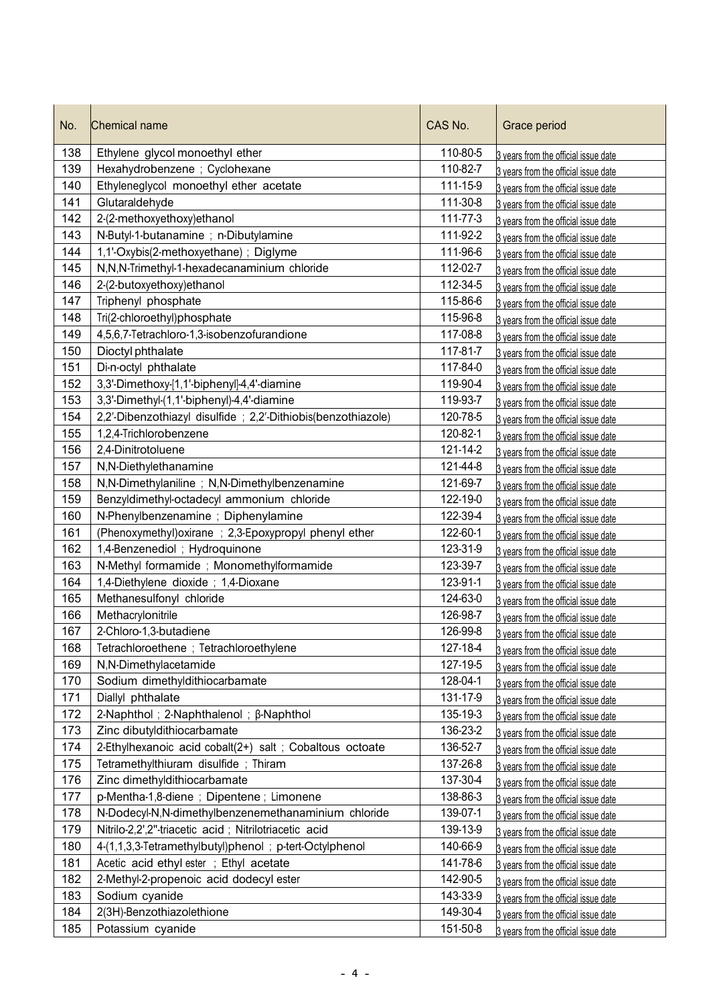| No.        | <b>Chemical name</b>                                          | CAS No.              | Grace period                         |
|------------|---------------------------------------------------------------|----------------------|--------------------------------------|
| 138        | Ethylene glycol monoethyl ether                               | 110-80-5             | 3 years from the official issue date |
| 139        | Hexahydrobenzene ; Cyclohexane                                | 110-82-7             | 3 years from the official issue date |
| 140        | Ethyleneglycol monoethyl ether acetate                        | 111-15-9             | 3 years from the official issue date |
| 141        | Glutaraldehyde                                                | 111-30-8             | 3 years from the official issue date |
| 142        | 2-(2-methoxyethoxy)ethanol                                    | 111-77-3             | 3 years from the official issue date |
| 143        | N-Butyl-1-butanamine ; n-Dibutylamine                         | 111-92-2             | 3 years from the official issue date |
| 144        | 1,1'-Oxybis(2-methoxyethane) ; Diglyme                        | 111-96-6             | 3 years from the official issue date |
| 145        | N,N,N-Trimethyl-1-hexadecanaminium chloride                   | 112-02-7             | 3 years from the official issue date |
| 146        | 2-(2-butoxyethoxy)ethanol                                     | 112-34-5             | 3 years from the official issue date |
| 147        | Triphenyl phosphate                                           | 115-86-6             | 3 years from the official issue date |
| 148        | Tri(2-chloroethyl)phosphate                                   | 115-96-8             | 3 years from the official issue date |
| 149        | 4,5,6,7-Tetrachloro-1,3-isobenzofurandione                    | 117-08-8             | 3 years from the official issue date |
| 150        | Dioctyl phthalate                                             | 117-81-7             | 3 years from the official issue date |
| 151        | Di-n-octyl phthalate                                          | 117-84-0             | 3 years from the official issue date |
| 152        | 3,3'-Dimethoxy-[1,1'-biphenyl]-4,4'-diamine                   | 119-90-4             | 3 years from the official issue date |
| 153        | 3,3'-Dimethyl-(1,1'-biphenyl)-4,4'-diamine                    | 119-93-7             | 3 years from the official issue date |
| 154        | 2,2'-Dibenzothiazyl disulfide ; 2,2'-Dithiobis(benzothiazole) | 120-78-5             | 3 years from the official issue date |
| 155        | 1,2,4-Trichlorobenzene                                        | 120-82-1             | 3 years from the official issue date |
| 156        | 2.4-Dinitrotoluene                                            | 121-14-2             | 3 years from the official issue date |
| 157        | N,N-Diethylethanamine                                         | 121-44-8             | 3 years from the official issue date |
| 158        | N,N-Dimethylaniline; N,N-Dimethylbenzenamine                  | 121-69-7             | 3 years from the official issue date |
| 159        | Benzyldimethyl-octadecyl ammonium chloride                    | 122-19-0             | 3 years from the official issue date |
| 160        | N-Phenylbenzenamine ; Diphenylamine                           | 122-39-4             | 3 years from the official issue date |
| 161        | (Phenoxymethyl) oxirane ; 2,3-Epoxypropyl phenyl ether        | 122-60-1             | 3 years from the official issue date |
| 162        | 1,4-Benzenediol ; Hydroquinone                                | 123-31-9             | 3 years from the official issue date |
| 163        | N-Methyl formamide; Monomethylformamide                       | 123-39-7             | 3 years from the official issue date |
| 164        | 1,4-Diethylene dioxide ; 1,4-Dioxane                          | 123-91-1             | 3 years from the official issue date |
| 165        | Methanesulfonyl chloride                                      | 124-63-0             | 3 years from the official issue date |
| 166        | Methacrylonitrile                                             | 126-98-7             | 3 years from the official issue date |
| 167        | 2-Chloro-1,3-butadiene                                        | 126-99-8             |                                      |
| 168        | Tetrachloroethene; Tetrachloroethylene                        | 127-18-4             | 3 years from the official issue date |
| 169        | N,N-Dimethylacetamide                                         | 127-19-5             | 3 years from the official issue date |
| 170        | Sodium dimethyldithiocarbamate                                | 128-04-1             | 3 years from the official issue date |
| 171        | Diallyl phthalate                                             | 131-17-9             | 3 years from the official issue date |
| 172        | $2$ -Naphthol; $2$ -Naphthalenol; $\beta$ -Naphthol           | 135-19-3             | 3 years from the official issue date |
| 173        | Zinc dibutyldithiocarbamate                                   | 136-23-2             | 3 years from the official issue date |
| 174        | 2-Ethylhexanoic acid cobalt(2+) salt ; Cobaltous octoate      | 136-52-7             | 3 years from the official issue date |
| 175        | Tetramethylthiuram disulfide; Thiram                          | 137-26-8             | 3 years from the official issue date |
| 176        | Zinc dimethyldithiocarbamate                                  | 137-30-4             | 3 years from the official issue date |
| 177        | p-Mentha-1,8-diene; Dipentene; Limonene                       | 138-86-3             | 3 years from the official issue date |
| 178        | N-Dodecyl-N,N-dimethylbenzenemethanaminium chloride           | 139-07-1             | 3 years from the official issue date |
|            |                                                               |                      | 3 years from the official issue date |
| 179<br>180 | Nitrilo-2,2',2"-triacetic acid ; Nitrilotriacetic acid        | 139-13-9<br>140-66-9 | 3 years from the official issue date |
|            | 4-(1,1,3,3-Tetramethylbutyl)phenol; p-tert-Octylphenol        |                      | 3 years from the official issue date |
| 181        | Acetic acid ethyl ester ; Ethyl acetate                       | 141-78-6             | 3 years from the official issue date |
| 182        | 2-Methyl-2-propenoic acid dodecyl ester                       | 142-90-5             | 3 years from the official issue date |
| 183        | Sodium cyanide                                                | 143-33-9             | 3 years from the official issue date |
| 184        | 2(3H)-Benzothiazolethione                                     | 149-30-4             | 3 years from the official issue date |
| 185        | Potassium cyanide                                             | 151-50-8             | 3 years from the official issue date |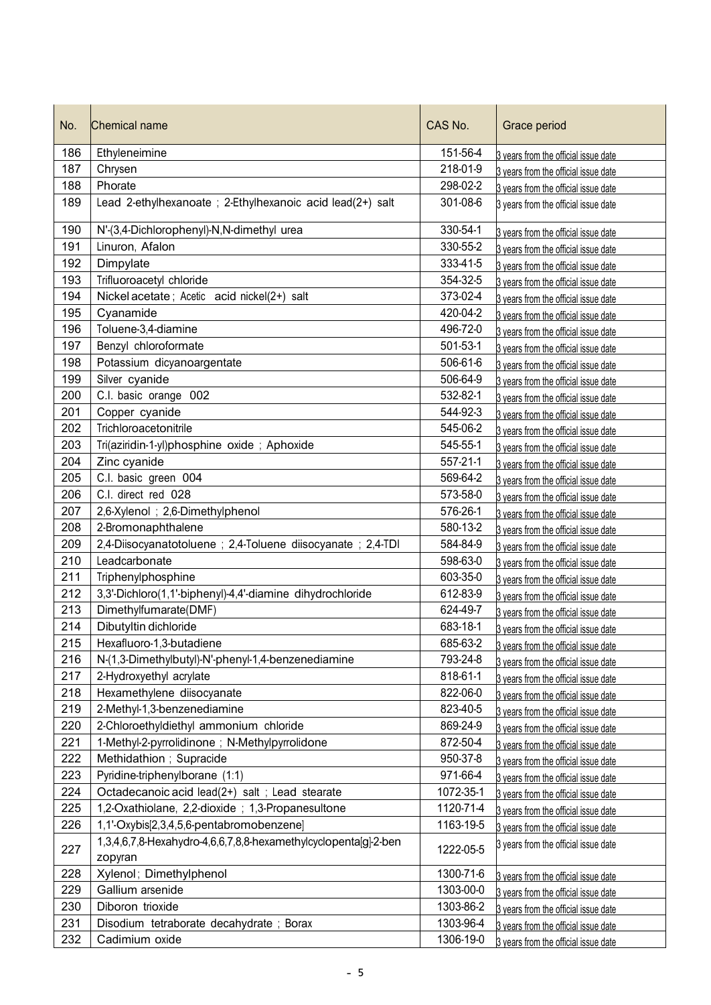| No. | lChemical name                                                             | CAS No.   | Grace period                         |
|-----|----------------------------------------------------------------------------|-----------|--------------------------------------|
| 186 | Ethyleneimine                                                              | 151-56-4  | 3 years from the official issue date |
| 187 | Chrysen                                                                    | 218-01-9  | 3 years from the official issue date |
| 188 | Phorate                                                                    | 298-02-2  | 3 years from the official issue date |
| 189 | Lead 2-ethylhexanoate ; 2-Ethylhexanoic acid lead(2+) salt                 | 301-08-6  | 3 years from the official issue date |
| 190 | N'-(3,4-Dichlorophenyl)-N,N-dimethyl urea                                  | 330-54-1  | 3 years from the official issue date |
| 191 | Linuron, Afalon                                                            | 330-55-2  | 3 years from the official issue date |
| 192 | Dimpylate                                                                  | 333-41-5  | 3 years from the official issue date |
| 193 | Trifluoroacetyl chloride                                                   | 354-32-5  | 3 years from the official issue date |
| 194 | Nickel acetate; Acetic acid nickel(2+) salt                                | 373-02-4  | 3 years from the official issue date |
| 195 | Cyanamide                                                                  | 420-04-2  | 3 years from the official issue date |
| 196 | Toluene-3,4-diamine                                                        | 496-72-0  | 3 years from the official issue date |
| 197 | Benzyl chloroformate                                                       | 501-53-1  | 3 years from the official issue date |
| 198 | Potassium dicyanoargentate                                                 | 506-61-6  | 3 years from the official issue date |
| 199 | Silver cyanide                                                             | 506-64-9  | 3 years from the official issue date |
| 200 | C.I. basic orange 002                                                      | 532-82-1  | 3 years from the official issue date |
| 201 | Copper cyanide                                                             | 544-92-3  | 3 years from the official issue date |
| 202 | Trichloroacetonitrile                                                      | 545-06-2  | 3 years from the official issue date |
| 203 | Tri(aziridin-1-yl)phosphine oxide ; Aphoxide                               | 545-55-1  | 3 years from the official issue date |
| 204 | Zinc cyanide                                                               | 557-21-1  | 3 years from the official issue date |
| 205 | C.I. basic green 004                                                       | 569-64-2  | 3 years from the official issue date |
| 206 | C.I. direct red 028                                                        | 573-58-0  | 3 years from the official issue date |
| 207 | 2,6-Xylenol ; 2,6-Dimethylphenol                                           | 576-26-1  | 3 years from the official issue date |
| 208 | 2-Bromonaphthalene                                                         | 580-13-2  | 3 years from the official issue date |
| 209 | 2,4-Diisocyanatotoluene ; 2,4-Toluene diisocyanate ; 2,4-TDI               | 584-84-9  | 3 years from the official issue date |
| 210 | Leadcarbonate                                                              | 598-63-0  | 3 years from the official issue date |
| 211 | Triphenylphosphine                                                         | 603-35-0  | 3 years from the official issue date |
| 212 | 3,3'-Dichloro(1,1'-biphenyl)-4,4'-diamine dihydrochloride                  | 612-83-9  | 3 years from the official issue date |
| 213 | Dimethylfumarate(DMF)                                                      | 624-49-7  | 3 years from the official issue date |
| 214 | Dibutyltin dichloride                                                      | 683-18-1  | 3 years from the official issue date |
| 215 | Hexafluoro-1,3-butadiene                                                   | 685-63-2  | 3 years from the official issue date |
| 216 | N-(1,3-Dimethylbutyl)-N'-phenyl-1,4-benzenediamine                         | 793-24-8  | 3 years from the official issue date |
| 217 | 2-Hydroxyethyl acrylate                                                    | 818-61-1  | 3 years from the official issue date |
| 218 | Hexamethylene diisocyanate                                                 | 822-06-0  | 3 years from the official issue date |
| 219 | 2-Methyl-1,3-benzenediamine                                                | 823-40-5  | 3 years from the official issue date |
| 220 | 2-Chloroethyldiethyl ammonium chloride                                     | 869-24-9  | 3 years from the official issue date |
| 221 | 1-Methyl-2-pyrrolidinone; N-Methylpyrrolidone                              | 872-50-4  | 3 years from the official issue date |
| 222 | Methidathion ; Supracide                                                   | 950-37-8  | 3 years from the official issue date |
| 223 | Pyridine-triphenylborane (1:1)                                             | 971-66-4  | 3 years from the official issue date |
| 224 | Octadecanoic acid lead(2+) salt ; Lead stearate                            | 1072-35-1 | 3 years from the official issue date |
| 225 | 1,2-Oxathiolane, 2,2-dioxide ; 1,3-Propanesultone                          | 1120-71-4 | 3 years from the official issue date |
| 226 | 1,1'-Oxybis[2,3,4,5,6-pentabromobenzene]                                   | 1163-19-5 | 3 years from the official issue date |
| 227 | 1,3,4,6,7,8-Hexahydro-4,6,6,7,8,8-hexamethylcyclopenta[g]-2-ben<br>zopyran | 1222-05-5 | 3 years from the official issue date |
| 228 | Xylenol; Dimethylphenol                                                    | 1300-71-6 | 3 years from the official issue date |
| 229 | Gallium arsenide                                                           | 1303-00-0 | 3 years from the official issue date |
| 230 | Diboron trioxide                                                           | 1303-86-2 | 3 years from the official issue date |
| 231 | Disodium tetraborate decahydrate ; Borax                                   | 1303-96-4 | 3 years from the official issue date |
| 232 | Cadimium oxide                                                             | 1306-19-0 | 3 years from the official issue date |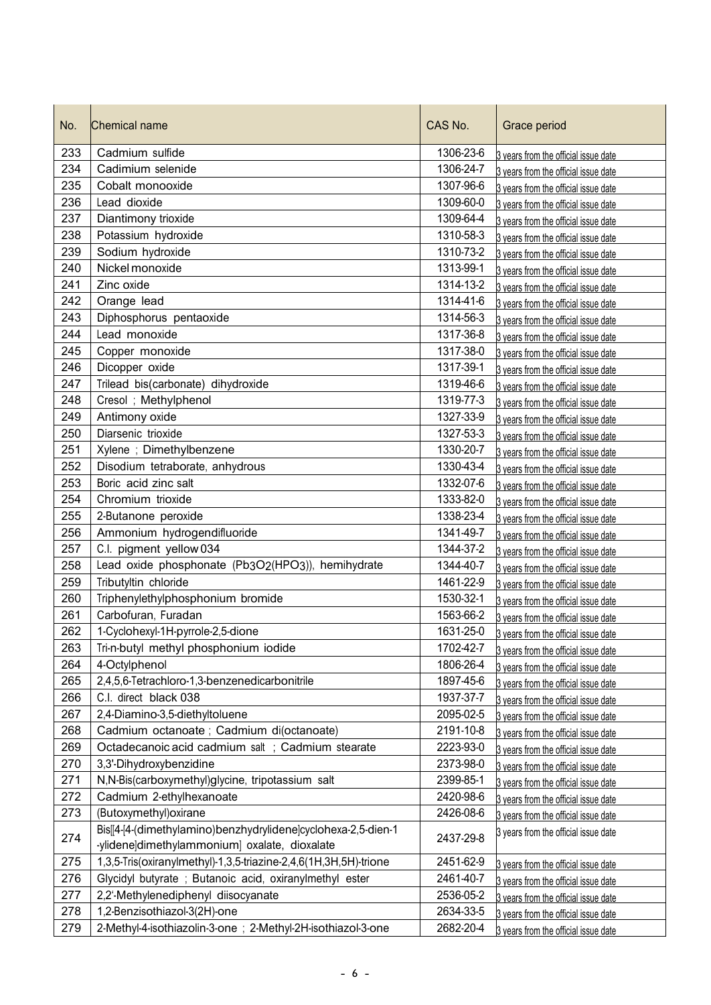| No. | <b>Chemical name</b>                                             | CAS No.   | Grace period                                                                 |
|-----|------------------------------------------------------------------|-----------|------------------------------------------------------------------------------|
| 233 | Cadmium sulfide                                                  | 1306-23-6 | 3 years from the official issue date                                         |
| 234 | Cadimium selenide                                                | 1306-24-7 | 3 years from the official issue date                                         |
| 235 | Cobalt monooxide                                                 | 1307-96-6 | 3 years from the official issue date                                         |
| 236 | Lead dioxide                                                     | 1309-60-0 | 3 years from the official issue date                                         |
| 237 | Diantimony trioxide                                              | 1309-64-4 | 3 vears from the official issue date                                         |
| 238 | Potassium hydroxide                                              | 1310-58-3 | 3 years from the official issue date                                         |
| 239 | Sodium hydroxide                                                 | 1310-73-2 | 3 years from the official issue date                                         |
| 240 | Nickel monoxide                                                  | 1313-99-1 | 3 years from the official issue date                                         |
| 241 | Zinc oxide                                                       | 1314-13-2 | 3 years from the official issue date                                         |
| 242 | Orange lead                                                      | 1314-41-6 | 3 years from the official issue date                                         |
| 243 | Diphosphorus pentaoxide                                          | 1314-56-3 | 3 years from the official issue date                                         |
| 244 | Lead monoxide                                                    | 1317-36-8 | 3 vears from the official issue date                                         |
| 245 | Copper monoxide                                                  | 1317-38-0 | 3 years from the official issue date                                         |
| 246 | Dicopper oxide                                                   | 1317-39-1 | 3 years from the official issue date                                         |
| 247 | Trilead bis(carbonate) dihydroxide                               | 1319-46-6 | 3 years from the official issue date                                         |
| 248 | Cresol ; Methylphenol                                            | 1319-77-3 | 3 years from the official issue date                                         |
| 249 | Antimony oxide                                                   | 1327-33-9 | 3 years from the official issue date                                         |
| 250 | Diarsenic trioxide                                               | 1327-53-3 | 3 years from the official issue date                                         |
| 251 | Xylene ; Dimethylbenzene                                         | 1330-20-7 | 3 years from the official issue date                                         |
| 252 | Disodium tetraborate, anhydrous                                  | 1330-43-4 | 3 years from the official issue date                                         |
| 253 | Boric acid zinc salt                                             | 1332-07-6 | 3 years from the official issue date                                         |
| 254 | Chromium trioxide                                                | 1333-82-0 | 3 years from the official issue date                                         |
| 255 | 2-Butanone peroxide                                              | 1338-23-4 | 3 years from the official issue date                                         |
| 256 | Ammonium hydrogendifluoride                                      | 1341-49-7 | 3 years from the official issue date                                         |
| 257 | C.I. pigment yellow 034                                          | 1344-37-2 | 3 years from the official issue date                                         |
| 258 | Lead oxide phosphonate (Pb3O2(HPO3)), hemihydrate                | 1344-40-7 | 3 years from the official issue date                                         |
| 259 | Tributyltin chloride                                             | 1461-22-9 | 3 years from the official issue date                                         |
| 260 | Triphenylethylphosphonium bromide                                | 1530-32-1 | 3 years from the official issue date                                         |
| 261 | Carbofuran, Furadan                                              | 1563-66-2 | 3 years from the official issue date                                         |
| 262 | 1-Cyclohexyl-1H-pyrrole-2,5-dione                                | 1631-25-0 | 3 years from the official issue date                                         |
| 263 | Tri-n-butyl methyl phosphonium iodide                            | 1702-42-7 | 3 years from the official issue date                                         |
| 264 | 4-Octylphenol                                                    | 1806-26-4 | 3 years from the official issue date                                         |
| 265 | 2,4,5,6-Tetrachloro-1,3-benzenedicarbonitrile                    | 1897-45-6 | 3 years from the official issue date                                         |
| 266 | C.I. direct black 038                                            | 1937-37-7 | 3 years from the official issue date                                         |
| 267 | 2,4-Diamino-3,5-diethyltoluene                                   | 2095-02-5 | 3 years from the official issue date                                         |
| 268 | Cadmium octanoate ; Cadmium di(octanoate)                        | 2191-10-8 | 3 years from the official issue date                                         |
| 269 | Octadecanoic acid cadmium salt; Cadmium stearate                 | 2223-93-0 | 3 years from the official issue date                                         |
| 270 | 3,3'-Dihydroxybenzidine                                          | 2373-98-0 |                                                                              |
| 271 | N,N-Bis(carboxymethyl)glycine, tripotassium salt                 | 2399-85-1 | 3 years from the official issue date<br>3 years from the official issue date |
| 272 | Cadmium 2-ethylhexanoate                                         | 2420-98-6 |                                                                              |
| 273 | (Butoxymethyl) oxirane                                           | 2426-08-6 | 3 years from the official issue date                                         |
|     | Bis[[4-[4-(dimethylamino)benzhydrylidene]cyclohexa-2,5-dien-1    |           | 3 years from the official issue date                                         |
| 274 | -ylidene]dimethylammonium] oxalate, dioxalate                    | 2437-29-8 | 3 years from the official issue date                                         |
| 275 | 1,3,5-Tris(oxiranylmethyl)-1,3,5-triazine-2,4,6(1H,3H,5H)-trione | 2451-62-9 |                                                                              |
| 276 | Glycidyl butyrate; Butanoic acid, oxiranylmethyl ester           | 2461-40-7 | 3 years from the official issue date                                         |
| 277 | 2,2'-Methylenediphenyl diisocyanate                              | 2536-05-2 | 3 years from the official issue date                                         |
| 278 | 1,2-Benzisothiazol-3(2H)-one                                     |           | 3 years from the official issue date                                         |
|     |                                                                  | 2634-33-5 | 3 years from the official issue date                                         |
| 279 | 2-Methyl-4-isothiazolin-3-one; 2-Methyl-2H-isothiazol-3-one      | 2682-20-4 | 3 years from the official issue date                                         |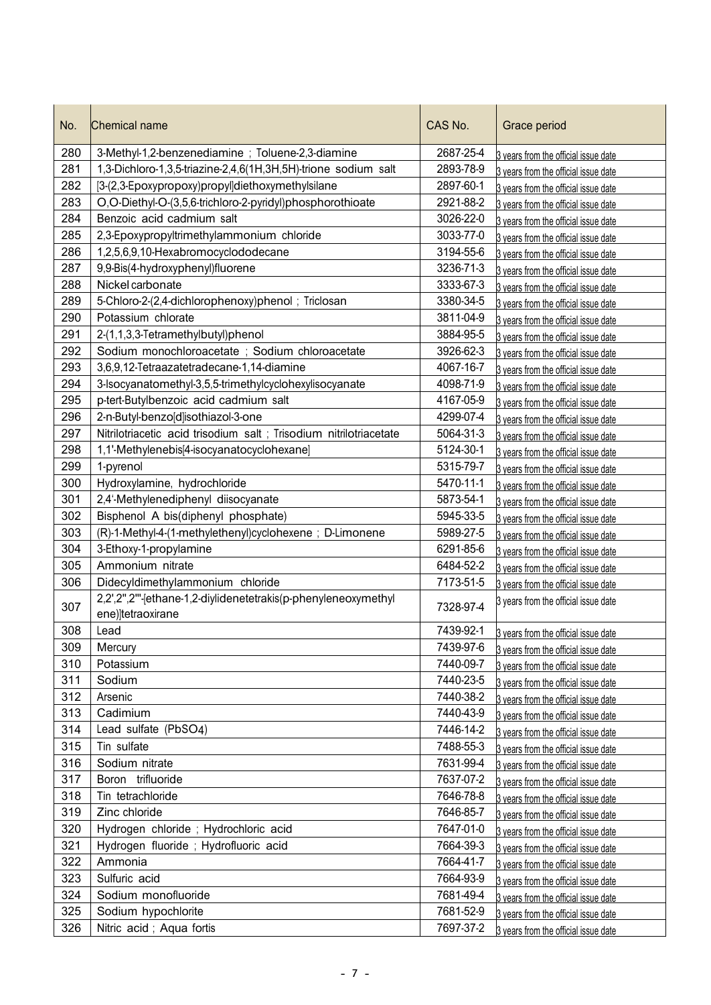| No. | <b>Chemical name</b>                                                             | CAS No.   | Grace period                                                                 |
|-----|----------------------------------------------------------------------------------|-----------|------------------------------------------------------------------------------|
| 280 | 3-Methyl-1,2-benzenediamine; Toluene-2,3-diamine                                 | 2687-25-4 | 3 years from the official issue date                                         |
| 281 | 1,3-Dichloro-1,3,5-triazine-2,4,6(1H,3H,5H)-trione sodium salt                   | 2893-78-9 | 3 years from the official issue date                                         |
| 282 | [3-(2,3-Epoxypropoxy)propyl]diethoxymethylsilane                                 | 2897-60-1 | 3 years from the official issue date                                         |
| 283 | O,O-Diethyl-O-(3,5,6-trichloro-2-pyridyl)phosphorothioate                        | 2921-88-2 | 3 years from the official issue date                                         |
| 284 | Benzoic acid cadmium salt                                                        | 3026-22-0 | 3 years from the official issue date                                         |
| 285 | 2,3-Epoxypropyltrimethylammonium chloride                                        | 3033-77-0 | 3 years from the official issue date                                         |
| 286 | 1,2,5,6,9,10-Hexabromocyclododecane                                              | 3194-55-6 | 3 years from the official issue date                                         |
| 287 | 9,9-Bis(4-hydroxyphenyl)fluorene                                                 | 3236-71-3 | 3 years from the official issue date                                         |
| 288 | Nickel carbonate                                                                 | 3333-67-3 | 3 years from the official issue date                                         |
| 289 | 5-Chloro-2-(2,4-dichlorophenoxy)phenol; Triclosan                                | 3380-34-5 | 3 years from the official issue date                                         |
| 290 | Potassium chlorate                                                               | 3811-04-9 | 3 years from the official issue date                                         |
| 291 | 2-(1,1,3,3-Tetramethylbutyl)phenol                                               | 3884-95-5 | 3 years from the official issue date                                         |
| 292 | Sodium monochloroacetate ; Sodium chloroacetate                                  | 3926-62-3 | 3 years from the official issue date                                         |
| 293 | 3,6,9,12-Tetraazatetradecane-1,14-diamine                                        | 4067-16-7 | 3 years from the official issue date                                         |
| 294 | 3-Isocyanatomethyl-3,5,5-trimethylcyclohexylisocyanate                           | 4098-71-9 | 3 years from the official issue date                                         |
| 295 | p-tert-Butylbenzoic acid cadmium salt                                            | 4167-05-9 | 3 years from the official issue date                                         |
| 296 | 2-n-Butyl-benzo[d]isothiazol-3-one                                               | 4299-07-4 | 3 years from the official issue date                                         |
| 297 | Nitrilotriacetic acid trisodium salt ; Trisodium nitrilotriacetate               | 5064-31-3 | 3 years from the official issue date                                         |
| 298 | 1,1'-Methylenebis[4-isocyanatocyclohexane]                                       | 5124-30-1 | 3 years from the official issue date                                         |
| 299 | 1-pyrenol                                                                        | 5315-79-7 | 3 years from the official issue date                                         |
| 300 | Hydroxylamine, hydrochloride                                                     | 5470-11-1 | 3 years from the official issue date                                         |
| 301 | 2,4'-Methylenediphenyl diisocyanate                                              | 5873-54-1 | 3 years from the official issue date                                         |
| 302 | Bisphenol A bis(diphenyl phosphate)                                              | 5945-33-5 | 3 years from the official issue date                                         |
| 303 | (R)-1-Methyl-4-(1-methylethenyl)cyclohexene; D-Limonene                          | 5989-27-5 | 3 years from the official issue date                                         |
| 304 | 3-Ethoxy-1-propylamine                                                           | 6291-85-6 | 3 years from the official issue date                                         |
| 305 | Ammonium nitrate                                                                 | 6484-52-2 | 3 years from the official issue date                                         |
| 306 | Didecyldimethylammonium chloride                                                 | 7173-51-5 | 3 years from the official issue date                                         |
| 307 | 2,2",2"'-[ethane-1,2-diylidenetetrakis(p-phenyleneoxymethyl<br>ene) tetraoxirane | 7328-97-4 | 3 years from the official issue date                                         |
| 308 | Lead                                                                             | 7439-92-1 | 3 years from the official issue date                                         |
| 309 | Mercury                                                                          | 7439-97-6 | 3 years from the official issue date                                         |
| 310 | Potassium                                                                        | 7440-09-7 | 3 years from the official issue date                                         |
| 311 | Sodium                                                                           | 7440-23-5 | 3 years from the official issue date                                         |
| 312 | Arsenic                                                                          | 7440-38-2 | 3 years from the official issue date                                         |
| 313 | Cadimium                                                                         | 7440-43-9 | 3 years from the official issue date                                         |
| 314 | Lead sulfate (PbSO4)                                                             | 7446-14-2 | 3 years from the official issue date                                         |
| 315 | Tin sulfate                                                                      | 7488-55-3 | 3 vears from the official issue date                                         |
| 316 | Sodium nitrate                                                                   | 7631-99-4 | 3 years from the official issue date                                         |
| 317 | Boron trifluoride                                                                | 7637-07-2 | 3 years from the official issue date                                         |
| 318 | Tin tetrachloride                                                                | 7646-78-8 | 3 years from the official issue date                                         |
| 319 | Zinc chloride                                                                    | 7646-85-7 | 3 years from the official issue date                                         |
| 320 | Hydrogen chloride ; Hydrochloric acid                                            | 7647-01-0 | 3 years from the official issue date                                         |
| 321 | Hydrogen fluoride ; Hydrofluoric acid                                            | 7664-39-3 | 3 years from the official issue date                                         |
| 322 | Ammonia                                                                          | 7664-41-7 | 3 years from the official issue date                                         |
| 323 | Sulfuric acid                                                                    | 7664-93-9 | 3 years from the official issue date                                         |
| 324 | Sodium monofluoride                                                              | 7681-49-4 |                                                                              |
| 325 | Sodium hypochlorite                                                              | 7681-52-9 | 3 years from the official issue date<br>3 years from the official issue date |
| 326 | Nitric acid; Aqua fortis                                                         | 7697-37-2 |                                                                              |
|     |                                                                                  |           | 3 years from the official issue date                                         |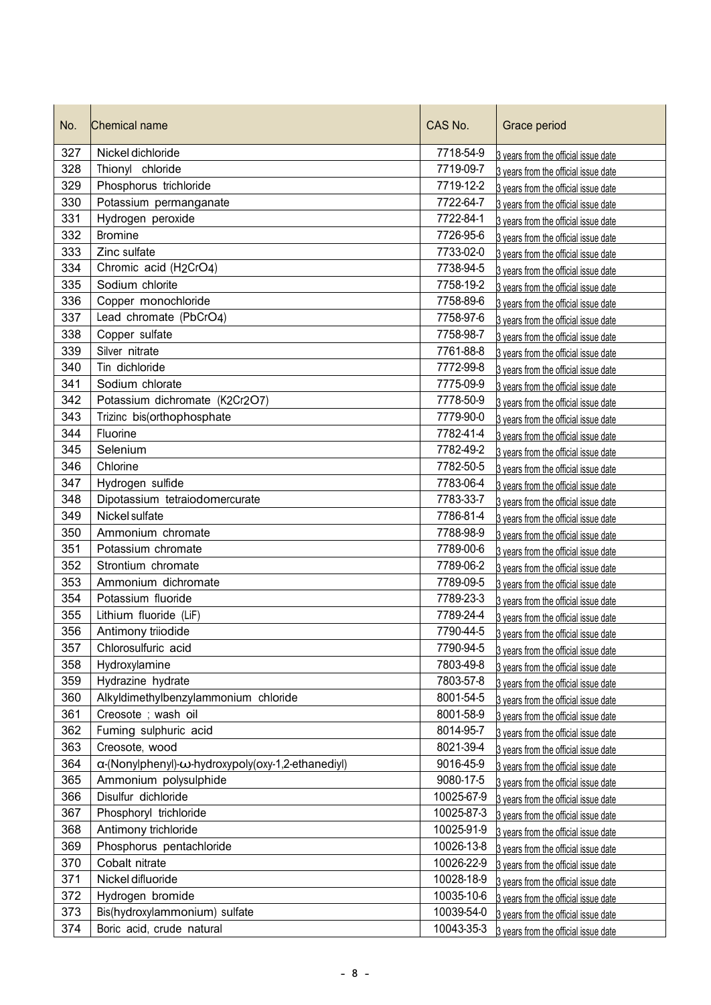| 327<br>Nickel dichloride<br>7718-54-9<br>3 years from the official issue date<br>328<br>Thionyl chloride<br>7719-09-7<br>3 years from the official issue date<br>Phosphorus trichloride<br>329<br>7719-12-2<br>3 years from the official issue date<br>330<br>Potassium permanganate<br>7722-64-7<br>3 years from the official issue date<br>331<br>Hydrogen peroxide<br>7722-84-1<br>3 years from the official issue date<br>332<br><b>Bromine</b><br>7726-95-6<br>3 years from the official issue date<br>333<br>Zinc sulfate<br>7733-02-0<br>3 years from the official issue date<br>334<br>Chromic acid (H <sub>2</sub> CrO <sub>4</sub> )<br>7738-94-5<br>3 years from the official issue date<br>335<br>Sodium chlorite<br>7758-19-2<br>3 years from the official issue date<br>336<br>Copper monochloride<br>7758-89-6<br>3 years from the official issue date<br>Lead chromate (PbCrO4)<br>337<br>7758-97-6<br>3 years from the official issue date<br>338<br>Copper sulfate<br>7758-98-7<br>3 vears from the official issue date<br>339<br>Silver nitrate<br>7761-88-8<br>3 years from the official issue date<br>340<br>Tin dichloride<br>7772-99-8<br>3 years from the official issue date<br>341<br>Sodium chlorate<br>7775-09-9<br>3 years from the official issue date<br>Potassium dichromate (K2Cr2O7)<br>342<br>7778-50-9<br>3 years from the official issue date<br>343<br>Trizinc bis(orthophosphate<br>7779-90-0<br>3 years from the official issue date<br>344<br>Fluorine<br>7782-41-4<br>3 years from the official issue date<br>345<br>7782-49-2<br>Selenium<br>3 years from the official issue date<br>346<br>Chlorine<br>7782-50-5<br>3 years from the official issue date<br>347<br>Hydrogen sulfide<br>7783-06-4<br>3 years from the official issue date<br>348<br>Dipotassium tetraiodomercurate<br>7783-33-7<br>3 years from the official issue date<br>349<br>Nickel sulfate<br>7786-81-4<br>3 years from the official issue date<br>350<br>Ammonium chromate<br>7788-98-9<br>3 years from the official issue date<br>351<br>Potassium chromate<br>7789-00-6<br>3 years from the official issue date<br>352<br>Strontium chromate<br>7789-06-2<br>3 years from the official issue date<br>353<br>Ammonium dichromate<br>7789-09-5<br>3 years from the official issue date<br>354<br>Potassium fluoride<br>7789-23-3<br>3 years from the official issue date<br>355<br>Lithium fluoride (LiF)<br>7789-24-4<br>3 years from the official issue date<br>356<br>Antimony triiodide<br>7790-44-5<br>3 years from the official issue date<br>357<br>Chlorosulfuric acid<br>7790-94-5<br>3 years from the official issue date<br>358<br>7803-49-8<br>Hydroxylamine<br>3 years from the official issue date<br>359<br>Hydrazine hydrate<br>7803-57-8<br>3 years from the official issue date<br>360<br>Alkyldimethylbenzylammonium chloride<br>8001-54-5<br>3 years from the official issue date<br>361<br>Creosote ; wash oil<br>8001-58-9<br>3 years from the official issue date<br>Fuming sulphuric acid<br>362<br>8014-95-7<br>3 years from the official issue date<br>363<br>Creosote, wood<br>8021-39-4<br>3 vears from the official issue date<br>364<br>a-(Nonylphenyl)-w-hydroxypoly(oxy-1,2-ethanediyl)<br>9016-45-9<br>3 years from the official issue date<br>365<br>Ammonium polysulphide<br>9080-17-5<br>3 years from the official issue date<br>Disulfur dichloride<br>366<br>10025-67-9<br>3 years from the official issue date<br>367<br>Phosphoryl trichloride<br>10025-87-3<br>3 years from the official issue date<br>368<br>Antimony trichloride<br>10025-91-9<br>3 years from the official issue date<br>369<br>Phosphorus pentachloride<br>10026-13-8<br>3 years from the official issue date<br>370<br>Cobalt nitrate<br>10026-22-9<br>3 years from the official issue date | No. | Chemical name     | CAS No.    | Grace period |
|-----------------------------------------------------------------------------------------------------------------------------------------------------------------------------------------------------------------------------------------------------------------------------------------------------------------------------------------------------------------------------------------------------------------------------------------------------------------------------------------------------------------------------------------------------------------------------------------------------------------------------------------------------------------------------------------------------------------------------------------------------------------------------------------------------------------------------------------------------------------------------------------------------------------------------------------------------------------------------------------------------------------------------------------------------------------------------------------------------------------------------------------------------------------------------------------------------------------------------------------------------------------------------------------------------------------------------------------------------------------------------------------------------------------------------------------------------------------------------------------------------------------------------------------------------------------------------------------------------------------------------------------------------------------------------------------------------------------------------------------------------------------------------------------------------------------------------------------------------------------------------------------------------------------------------------------------------------------------------------------------------------------------------------------------------------------------------------------------------------------------------------------------------------------------------------------------------------------------------------------------------------------------------------------------------------------------------------------------------------------------------------------------------------------------------------------------------------------------------------------------------------------------------------------------------------------------------------------------------------------------------------------------------------------------------------------------------------------------------------------------------------------------------------------------------------------------------------------------------------------------------------------------------------------------------------------------------------------------------------------------------------------------------------------------------------------------------------------------------------------------------------------------------------------------------------------------------------------------------------------------------------------------------------------------------------------------------------------------------------------------------------------------------------------------------------------------------------------------------------------------------------------------------------------------------------------------------------------------------------------------------------------------------------------------------------------------------------------------------------------------------------------------------------------------------------------------------|-----|-------------------|------------|--------------|
|                                                                                                                                                                                                                                                                                                                                                                                                                                                                                                                                                                                                                                                                                                                                                                                                                                                                                                                                                                                                                                                                                                                                                                                                                                                                                                                                                                                                                                                                                                                                                                                                                                                                                                                                                                                                                                                                                                                                                                                                                                                                                                                                                                                                                                                                                                                                                                                                                                                                                                                                                                                                                                                                                                                                                                                                                                                                                                                                                                                                                                                                                                                                                                                                                                                                                                                                                                                                                                                                                                                                                                                                                                                                                                                                                                                                                             |     |                   |            |              |
|                                                                                                                                                                                                                                                                                                                                                                                                                                                                                                                                                                                                                                                                                                                                                                                                                                                                                                                                                                                                                                                                                                                                                                                                                                                                                                                                                                                                                                                                                                                                                                                                                                                                                                                                                                                                                                                                                                                                                                                                                                                                                                                                                                                                                                                                                                                                                                                                                                                                                                                                                                                                                                                                                                                                                                                                                                                                                                                                                                                                                                                                                                                                                                                                                                                                                                                                                                                                                                                                                                                                                                                                                                                                                                                                                                                                                             |     |                   |            |              |
|                                                                                                                                                                                                                                                                                                                                                                                                                                                                                                                                                                                                                                                                                                                                                                                                                                                                                                                                                                                                                                                                                                                                                                                                                                                                                                                                                                                                                                                                                                                                                                                                                                                                                                                                                                                                                                                                                                                                                                                                                                                                                                                                                                                                                                                                                                                                                                                                                                                                                                                                                                                                                                                                                                                                                                                                                                                                                                                                                                                                                                                                                                                                                                                                                                                                                                                                                                                                                                                                                                                                                                                                                                                                                                                                                                                                                             |     |                   |            |              |
|                                                                                                                                                                                                                                                                                                                                                                                                                                                                                                                                                                                                                                                                                                                                                                                                                                                                                                                                                                                                                                                                                                                                                                                                                                                                                                                                                                                                                                                                                                                                                                                                                                                                                                                                                                                                                                                                                                                                                                                                                                                                                                                                                                                                                                                                                                                                                                                                                                                                                                                                                                                                                                                                                                                                                                                                                                                                                                                                                                                                                                                                                                                                                                                                                                                                                                                                                                                                                                                                                                                                                                                                                                                                                                                                                                                                                             |     |                   |            |              |
|                                                                                                                                                                                                                                                                                                                                                                                                                                                                                                                                                                                                                                                                                                                                                                                                                                                                                                                                                                                                                                                                                                                                                                                                                                                                                                                                                                                                                                                                                                                                                                                                                                                                                                                                                                                                                                                                                                                                                                                                                                                                                                                                                                                                                                                                                                                                                                                                                                                                                                                                                                                                                                                                                                                                                                                                                                                                                                                                                                                                                                                                                                                                                                                                                                                                                                                                                                                                                                                                                                                                                                                                                                                                                                                                                                                                                             |     |                   |            |              |
|                                                                                                                                                                                                                                                                                                                                                                                                                                                                                                                                                                                                                                                                                                                                                                                                                                                                                                                                                                                                                                                                                                                                                                                                                                                                                                                                                                                                                                                                                                                                                                                                                                                                                                                                                                                                                                                                                                                                                                                                                                                                                                                                                                                                                                                                                                                                                                                                                                                                                                                                                                                                                                                                                                                                                                                                                                                                                                                                                                                                                                                                                                                                                                                                                                                                                                                                                                                                                                                                                                                                                                                                                                                                                                                                                                                                                             |     |                   |            |              |
|                                                                                                                                                                                                                                                                                                                                                                                                                                                                                                                                                                                                                                                                                                                                                                                                                                                                                                                                                                                                                                                                                                                                                                                                                                                                                                                                                                                                                                                                                                                                                                                                                                                                                                                                                                                                                                                                                                                                                                                                                                                                                                                                                                                                                                                                                                                                                                                                                                                                                                                                                                                                                                                                                                                                                                                                                                                                                                                                                                                                                                                                                                                                                                                                                                                                                                                                                                                                                                                                                                                                                                                                                                                                                                                                                                                                                             |     |                   |            |              |
|                                                                                                                                                                                                                                                                                                                                                                                                                                                                                                                                                                                                                                                                                                                                                                                                                                                                                                                                                                                                                                                                                                                                                                                                                                                                                                                                                                                                                                                                                                                                                                                                                                                                                                                                                                                                                                                                                                                                                                                                                                                                                                                                                                                                                                                                                                                                                                                                                                                                                                                                                                                                                                                                                                                                                                                                                                                                                                                                                                                                                                                                                                                                                                                                                                                                                                                                                                                                                                                                                                                                                                                                                                                                                                                                                                                                                             |     |                   |            |              |
|                                                                                                                                                                                                                                                                                                                                                                                                                                                                                                                                                                                                                                                                                                                                                                                                                                                                                                                                                                                                                                                                                                                                                                                                                                                                                                                                                                                                                                                                                                                                                                                                                                                                                                                                                                                                                                                                                                                                                                                                                                                                                                                                                                                                                                                                                                                                                                                                                                                                                                                                                                                                                                                                                                                                                                                                                                                                                                                                                                                                                                                                                                                                                                                                                                                                                                                                                                                                                                                                                                                                                                                                                                                                                                                                                                                                                             |     |                   |            |              |
|                                                                                                                                                                                                                                                                                                                                                                                                                                                                                                                                                                                                                                                                                                                                                                                                                                                                                                                                                                                                                                                                                                                                                                                                                                                                                                                                                                                                                                                                                                                                                                                                                                                                                                                                                                                                                                                                                                                                                                                                                                                                                                                                                                                                                                                                                                                                                                                                                                                                                                                                                                                                                                                                                                                                                                                                                                                                                                                                                                                                                                                                                                                                                                                                                                                                                                                                                                                                                                                                                                                                                                                                                                                                                                                                                                                                                             |     |                   |            |              |
|                                                                                                                                                                                                                                                                                                                                                                                                                                                                                                                                                                                                                                                                                                                                                                                                                                                                                                                                                                                                                                                                                                                                                                                                                                                                                                                                                                                                                                                                                                                                                                                                                                                                                                                                                                                                                                                                                                                                                                                                                                                                                                                                                                                                                                                                                                                                                                                                                                                                                                                                                                                                                                                                                                                                                                                                                                                                                                                                                                                                                                                                                                                                                                                                                                                                                                                                                                                                                                                                                                                                                                                                                                                                                                                                                                                                                             |     |                   |            |              |
|                                                                                                                                                                                                                                                                                                                                                                                                                                                                                                                                                                                                                                                                                                                                                                                                                                                                                                                                                                                                                                                                                                                                                                                                                                                                                                                                                                                                                                                                                                                                                                                                                                                                                                                                                                                                                                                                                                                                                                                                                                                                                                                                                                                                                                                                                                                                                                                                                                                                                                                                                                                                                                                                                                                                                                                                                                                                                                                                                                                                                                                                                                                                                                                                                                                                                                                                                                                                                                                                                                                                                                                                                                                                                                                                                                                                                             |     |                   |            |              |
|                                                                                                                                                                                                                                                                                                                                                                                                                                                                                                                                                                                                                                                                                                                                                                                                                                                                                                                                                                                                                                                                                                                                                                                                                                                                                                                                                                                                                                                                                                                                                                                                                                                                                                                                                                                                                                                                                                                                                                                                                                                                                                                                                                                                                                                                                                                                                                                                                                                                                                                                                                                                                                                                                                                                                                                                                                                                                                                                                                                                                                                                                                                                                                                                                                                                                                                                                                                                                                                                                                                                                                                                                                                                                                                                                                                                                             |     |                   |            |              |
|                                                                                                                                                                                                                                                                                                                                                                                                                                                                                                                                                                                                                                                                                                                                                                                                                                                                                                                                                                                                                                                                                                                                                                                                                                                                                                                                                                                                                                                                                                                                                                                                                                                                                                                                                                                                                                                                                                                                                                                                                                                                                                                                                                                                                                                                                                                                                                                                                                                                                                                                                                                                                                                                                                                                                                                                                                                                                                                                                                                                                                                                                                                                                                                                                                                                                                                                                                                                                                                                                                                                                                                                                                                                                                                                                                                                                             |     |                   |            |              |
|                                                                                                                                                                                                                                                                                                                                                                                                                                                                                                                                                                                                                                                                                                                                                                                                                                                                                                                                                                                                                                                                                                                                                                                                                                                                                                                                                                                                                                                                                                                                                                                                                                                                                                                                                                                                                                                                                                                                                                                                                                                                                                                                                                                                                                                                                                                                                                                                                                                                                                                                                                                                                                                                                                                                                                                                                                                                                                                                                                                                                                                                                                                                                                                                                                                                                                                                                                                                                                                                                                                                                                                                                                                                                                                                                                                                                             |     |                   |            |              |
|                                                                                                                                                                                                                                                                                                                                                                                                                                                                                                                                                                                                                                                                                                                                                                                                                                                                                                                                                                                                                                                                                                                                                                                                                                                                                                                                                                                                                                                                                                                                                                                                                                                                                                                                                                                                                                                                                                                                                                                                                                                                                                                                                                                                                                                                                                                                                                                                                                                                                                                                                                                                                                                                                                                                                                                                                                                                                                                                                                                                                                                                                                                                                                                                                                                                                                                                                                                                                                                                                                                                                                                                                                                                                                                                                                                                                             |     |                   |            |              |
|                                                                                                                                                                                                                                                                                                                                                                                                                                                                                                                                                                                                                                                                                                                                                                                                                                                                                                                                                                                                                                                                                                                                                                                                                                                                                                                                                                                                                                                                                                                                                                                                                                                                                                                                                                                                                                                                                                                                                                                                                                                                                                                                                                                                                                                                                                                                                                                                                                                                                                                                                                                                                                                                                                                                                                                                                                                                                                                                                                                                                                                                                                                                                                                                                                                                                                                                                                                                                                                                                                                                                                                                                                                                                                                                                                                                                             |     |                   |            |              |
|                                                                                                                                                                                                                                                                                                                                                                                                                                                                                                                                                                                                                                                                                                                                                                                                                                                                                                                                                                                                                                                                                                                                                                                                                                                                                                                                                                                                                                                                                                                                                                                                                                                                                                                                                                                                                                                                                                                                                                                                                                                                                                                                                                                                                                                                                                                                                                                                                                                                                                                                                                                                                                                                                                                                                                                                                                                                                                                                                                                                                                                                                                                                                                                                                                                                                                                                                                                                                                                                                                                                                                                                                                                                                                                                                                                                                             |     |                   |            |              |
|                                                                                                                                                                                                                                                                                                                                                                                                                                                                                                                                                                                                                                                                                                                                                                                                                                                                                                                                                                                                                                                                                                                                                                                                                                                                                                                                                                                                                                                                                                                                                                                                                                                                                                                                                                                                                                                                                                                                                                                                                                                                                                                                                                                                                                                                                                                                                                                                                                                                                                                                                                                                                                                                                                                                                                                                                                                                                                                                                                                                                                                                                                                                                                                                                                                                                                                                                                                                                                                                                                                                                                                                                                                                                                                                                                                                                             |     |                   |            |              |
|                                                                                                                                                                                                                                                                                                                                                                                                                                                                                                                                                                                                                                                                                                                                                                                                                                                                                                                                                                                                                                                                                                                                                                                                                                                                                                                                                                                                                                                                                                                                                                                                                                                                                                                                                                                                                                                                                                                                                                                                                                                                                                                                                                                                                                                                                                                                                                                                                                                                                                                                                                                                                                                                                                                                                                                                                                                                                                                                                                                                                                                                                                                                                                                                                                                                                                                                                                                                                                                                                                                                                                                                                                                                                                                                                                                                                             |     |                   |            |              |
|                                                                                                                                                                                                                                                                                                                                                                                                                                                                                                                                                                                                                                                                                                                                                                                                                                                                                                                                                                                                                                                                                                                                                                                                                                                                                                                                                                                                                                                                                                                                                                                                                                                                                                                                                                                                                                                                                                                                                                                                                                                                                                                                                                                                                                                                                                                                                                                                                                                                                                                                                                                                                                                                                                                                                                                                                                                                                                                                                                                                                                                                                                                                                                                                                                                                                                                                                                                                                                                                                                                                                                                                                                                                                                                                                                                                                             |     |                   |            |              |
|                                                                                                                                                                                                                                                                                                                                                                                                                                                                                                                                                                                                                                                                                                                                                                                                                                                                                                                                                                                                                                                                                                                                                                                                                                                                                                                                                                                                                                                                                                                                                                                                                                                                                                                                                                                                                                                                                                                                                                                                                                                                                                                                                                                                                                                                                                                                                                                                                                                                                                                                                                                                                                                                                                                                                                                                                                                                                                                                                                                                                                                                                                                                                                                                                                                                                                                                                                                                                                                                                                                                                                                                                                                                                                                                                                                                                             |     |                   |            |              |
|                                                                                                                                                                                                                                                                                                                                                                                                                                                                                                                                                                                                                                                                                                                                                                                                                                                                                                                                                                                                                                                                                                                                                                                                                                                                                                                                                                                                                                                                                                                                                                                                                                                                                                                                                                                                                                                                                                                                                                                                                                                                                                                                                                                                                                                                                                                                                                                                                                                                                                                                                                                                                                                                                                                                                                                                                                                                                                                                                                                                                                                                                                                                                                                                                                                                                                                                                                                                                                                                                                                                                                                                                                                                                                                                                                                                                             |     |                   |            |              |
|                                                                                                                                                                                                                                                                                                                                                                                                                                                                                                                                                                                                                                                                                                                                                                                                                                                                                                                                                                                                                                                                                                                                                                                                                                                                                                                                                                                                                                                                                                                                                                                                                                                                                                                                                                                                                                                                                                                                                                                                                                                                                                                                                                                                                                                                                                                                                                                                                                                                                                                                                                                                                                                                                                                                                                                                                                                                                                                                                                                                                                                                                                                                                                                                                                                                                                                                                                                                                                                                                                                                                                                                                                                                                                                                                                                                                             |     |                   |            |              |
|                                                                                                                                                                                                                                                                                                                                                                                                                                                                                                                                                                                                                                                                                                                                                                                                                                                                                                                                                                                                                                                                                                                                                                                                                                                                                                                                                                                                                                                                                                                                                                                                                                                                                                                                                                                                                                                                                                                                                                                                                                                                                                                                                                                                                                                                                                                                                                                                                                                                                                                                                                                                                                                                                                                                                                                                                                                                                                                                                                                                                                                                                                                                                                                                                                                                                                                                                                                                                                                                                                                                                                                                                                                                                                                                                                                                                             |     |                   |            |              |
|                                                                                                                                                                                                                                                                                                                                                                                                                                                                                                                                                                                                                                                                                                                                                                                                                                                                                                                                                                                                                                                                                                                                                                                                                                                                                                                                                                                                                                                                                                                                                                                                                                                                                                                                                                                                                                                                                                                                                                                                                                                                                                                                                                                                                                                                                                                                                                                                                                                                                                                                                                                                                                                                                                                                                                                                                                                                                                                                                                                                                                                                                                                                                                                                                                                                                                                                                                                                                                                                                                                                                                                                                                                                                                                                                                                                                             |     |                   |            |              |
|                                                                                                                                                                                                                                                                                                                                                                                                                                                                                                                                                                                                                                                                                                                                                                                                                                                                                                                                                                                                                                                                                                                                                                                                                                                                                                                                                                                                                                                                                                                                                                                                                                                                                                                                                                                                                                                                                                                                                                                                                                                                                                                                                                                                                                                                                                                                                                                                                                                                                                                                                                                                                                                                                                                                                                                                                                                                                                                                                                                                                                                                                                                                                                                                                                                                                                                                                                                                                                                                                                                                                                                                                                                                                                                                                                                                                             |     |                   |            |              |
|                                                                                                                                                                                                                                                                                                                                                                                                                                                                                                                                                                                                                                                                                                                                                                                                                                                                                                                                                                                                                                                                                                                                                                                                                                                                                                                                                                                                                                                                                                                                                                                                                                                                                                                                                                                                                                                                                                                                                                                                                                                                                                                                                                                                                                                                                                                                                                                                                                                                                                                                                                                                                                                                                                                                                                                                                                                                                                                                                                                                                                                                                                                                                                                                                                                                                                                                                                                                                                                                                                                                                                                                                                                                                                                                                                                                                             |     |                   |            |              |
|                                                                                                                                                                                                                                                                                                                                                                                                                                                                                                                                                                                                                                                                                                                                                                                                                                                                                                                                                                                                                                                                                                                                                                                                                                                                                                                                                                                                                                                                                                                                                                                                                                                                                                                                                                                                                                                                                                                                                                                                                                                                                                                                                                                                                                                                                                                                                                                                                                                                                                                                                                                                                                                                                                                                                                                                                                                                                                                                                                                                                                                                                                                                                                                                                                                                                                                                                                                                                                                                                                                                                                                                                                                                                                                                                                                                                             |     |                   |            |              |
|                                                                                                                                                                                                                                                                                                                                                                                                                                                                                                                                                                                                                                                                                                                                                                                                                                                                                                                                                                                                                                                                                                                                                                                                                                                                                                                                                                                                                                                                                                                                                                                                                                                                                                                                                                                                                                                                                                                                                                                                                                                                                                                                                                                                                                                                                                                                                                                                                                                                                                                                                                                                                                                                                                                                                                                                                                                                                                                                                                                                                                                                                                                                                                                                                                                                                                                                                                                                                                                                                                                                                                                                                                                                                                                                                                                                                             |     |                   |            |              |
|                                                                                                                                                                                                                                                                                                                                                                                                                                                                                                                                                                                                                                                                                                                                                                                                                                                                                                                                                                                                                                                                                                                                                                                                                                                                                                                                                                                                                                                                                                                                                                                                                                                                                                                                                                                                                                                                                                                                                                                                                                                                                                                                                                                                                                                                                                                                                                                                                                                                                                                                                                                                                                                                                                                                                                                                                                                                                                                                                                                                                                                                                                                                                                                                                                                                                                                                                                                                                                                                                                                                                                                                                                                                                                                                                                                                                             |     |                   |            |              |
|                                                                                                                                                                                                                                                                                                                                                                                                                                                                                                                                                                                                                                                                                                                                                                                                                                                                                                                                                                                                                                                                                                                                                                                                                                                                                                                                                                                                                                                                                                                                                                                                                                                                                                                                                                                                                                                                                                                                                                                                                                                                                                                                                                                                                                                                                                                                                                                                                                                                                                                                                                                                                                                                                                                                                                                                                                                                                                                                                                                                                                                                                                                                                                                                                                                                                                                                                                                                                                                                                                                                                                                                                                                                                                                                                                                                                             |     |                   |            |              |
|                                                                                                                                                                                                                                                                                                                                                                                                                                                                                                                                                                                                                                                                                                                                                                                                                                                                                                                                                                                                                                                                                                                                                                                                                                                                                                                                                                                                                                                                                                                                                                                                                                                                                                                                                                                                                                                                                                                                                                                                                                                                                                                                                                                                                                                                                                                                                                                                                                                                                                                                                                                                                                                                                                                                                                                                                                                                                                                                                                                                                                                                                                                                                                                                                                                                                                                                                                                                                                                                                                                                                                                                                                                                                                                                                                                                                             |     |                   |            |              |
|                                                                                                                                                                                                                                                                                                                                                                                                                                                                                                                                                                                                                                                                                                                                                                                                                                                                                                                                                                                                                                                                                                                                                                                                                                                                                                                                                                                                                                                                                                                                                                                                                                                                                                                                                                                                                                                                                                                                                                                                                                                                                                                                                                                                                                                                                                                                                                                                                                                                                                                                                                                                                                                                                                                                                                                                                                                                                                                                                                                                                                                                                                                                                                                                                                                                                                                                                                                                                                                                                                                                                                                                                                                                                                                                                                                                                             |     |                   |            |              |
|                                                                                                                                                                                                                                                                                                                                                                                                                                                                                                                                                                                                                                                                                                                                                                                                                                                                                                                                                                                                                                                                                                                                                                                                                                                                                                                                                                                                                                                                                                                                                                                                                                                                                                                                                                                                                                                                                                                                                                                                                                                                                                                                                                                                                                                                                                                                                                                                                                                                                                                                                                                                                                                                                                                                                                                                                                                                                                                                                                                                                                                                                                                                                                                                                                                                                                                                                                                                                                                                                                                                                                                                                                                                                                                                                                                                                             |     |                   |            |              |
|                                                                                                                                                                                                                                                                                                                                                                                                                                                                                                                                                                                                                                                                                                                                                                                                                                                                                                                                                                                                                                                                                                                                                                                                                                                                                                                                                                                                                                                                                                                                                                                                                                                                                                                                                                                                                                                                                                                                                                                                                                                                                                                                                                                                                                                                                                                                                                                                                                                                                                                                                                                                                                                                                                                                                                                                                                                                                                                                                                                                                                                                                                                                                                                                                                                                                                                                                                                                                                                                                                                                                                                                                                                                                                                                                                                                                             |     |                   |            |              |
|                                                                                                                                                                                                                                                                                                                                                                                                                                                                                                                                                                                                                                                                                                                                                                                                                                                                                                                                                                                                                                                                                                                                                                                                                                                                                                                                                                                                                                                                                                                                                                                                                                                                                                                                                                                                                                                                                                                                                                                                                                                                                                                                                                                                                                                                                                                                                                                                                                                                                                                                                                                                                                                                                                                                                                                                                                                                                                                                                                                                                                                                                                                                                                                                                                                                                                                                                                                                                                                                                                                                                                                                                                                                                                                                                                                                                             |     |                   |            |              |
|                                                                                                                                                                                                                                                                                                                                                                                                                                                                                                                                                                                                                                                                                                                                                                                                                                                                                                                                                                                                                                                                                                                                                                                                                                                                                                                                                                                                                                                                                                                                                                                                                                                                                                                                                                                                                                                                                                                                                                                                                                                                                                                                                                                                                                                                                                                                                                                                                                                                                                                                                                                                                                                                                                                                                                                                                                                                                                                                                                                                                                                                                                                                                                                                                                                                                                                                                                                                                                                                                                                                                                                                                                                                                                                                                                                                                             |     |                   |            |              |
|                                                                                                                                                                                                                                                                                                                                                                                                                                                                                                                                                                                                                                                                                                                                                                                                                                                                                                                                                                                                                                                                                                                                                                                                                                                                                                                                                                                                                                                                                                                                                                                                                                                                                                                                                                                                                                                                                                                                                                                                                                                                                                                                                                                                                                                                                                                                                                                                                                                                                                                                                                                                                                                                                                                                                                                                                                                                                                                                                                                                                                                                                                                                                                                                                                                                                                                                                                                                                                                                                                                                                                                                                                                                                                                                                                                                                             |     |                   |            |              |
|                                                                                                                                                                                                                                                                                                                                                                                                                                                                                                                                                                                                                                                                                                                                                                                                                                                                                                                                                                                                                                                                                                                                                                                                                                                                                                                                                                                                                                                                                                                                                                                                                                                                                                                                                                                                                                                                                                                                                                                                                                                                                                                                                                                                                                                                                                                                                                                                                                                                                                                                                                                                                                                                                                                                                                                                                                                                                                                                                                                                                                                                                                                                                                                                                                                                                                                                                                                                                                                                                                                                                                                                                                                                                                                                                                                                                             |     |                   |            |              |
|                                                                                                                                                                                                                                                                                                                                                                                                                                                                                                                                                                                                                                                                                                                                                                                                                                                                                                                                                                                                                                                                                                                                                                                                                                                                                                                                                                                                                                                                                                                                                                                                                                                                                                                                                                                                                                                                                                                                                                                                                                                                                                                                                                                                                                                                                                                                                                                                                                                                                                                                                                                                                                                                                                                                                                                                                                                                                                                                                                                                                                                                                                                                                                                                                                                                                                                                                                                                                                                                                                                                                                                                                                                                                                                                                                                                                             |     |                   |            |              |
|                                                                                                                                                                                                                                                                                                                                                                                                                                                                                                                                                                                                                                                                                                                                                                                                                                                                                                                                                                                                                                                                                                                                                                                                                                                                                                                                                                                                                                                                                                                                                                                                                                                                                                                                                                                                                                                                                                                                                                                                                                                                                                                                                                                                                                                                                                                                                                                                                                                                                                                                                                                                                                                                                                                                                                                                                                                                                                                                                                                                                                                                                                                                                                                                                                                                                                                                                                                                                                                                                                                                                                                                                                                                                                                                                                                                                             |     |                   |            |              |
|                                                                                                                                                                                                                                                                                                                                                                                                                                                                                                                                                                                                                                                                                                                                                                                                                                                                                                                                                                                                                                                                                                                                                                                                                                                                                                                                                                                                                                                                                                                                                                                                                                                                                                                                                                                                                                                                                                                                                                                                                                                                                                                                                                                                                                                                                                                                                                                                                                                                                                                                                                                                                                                                                                                                                                                                                                                                                                                                                                                                                                                                                                                                                                                                                                                                                                                                                                                                                                                                                                                                                                                                                                                                                                                                                                                                                             |     |                   |            |              |
|                                                                                                                                                                                                                                                                                                                                                                                                                                                                                                                                                                                                                                                                                                                                                                                                                                                                                                                                                                                                                                                                                                                                                                                                                                                                                                                                                                                                                                                                                                                                                                                                                                                                                                                                                                                                                                                                                                                                                                                                                                                                                                                                                                                                                                                                                                                                                                                                                                                                                                                                                                                                                                                                                                                                                                                                                                                                                                                                                                                                                                                                                                                                                                                                                                                                                                                                                                                                                                                                                                                                                                                                                                                                                                                                                                                                                             |     |                   |            |              |
|                                                                                                                                                                                                                                                                                                                                                                                                                                                                                                                                                                                                                                                                                                                                                                                                                                                                                                                                                                                                                                                                                                                                                                                                                                                                                                                                                                                                                                                                                                                                                                                                                                                                                                                                                                                                                                                                                                                                                                                                                                                                                                                                                                                                                                                                                                                                                                                                                                                                                                                                                                                                                                                                                                                                                                                                                                                                                                                                                                                                                                                                                                                                                                                                                                                                                                                                                                                                                                                                                                                                                                                                                                                                                                                                                                                                                             | 371 | Nickel difluoride | 10028-18-9 |              |
| 3 years from the official issue date<br>372<br>Hydrogen bromide<br>10035-10-6                                                                                                                                                                                                                                                                                                                                                                                                                                                                                                                                                                                                                                                                                                                                                                                                                                                                                                                                                                                                                                                                                                                                                                                                                                                                                                                                                                                                                                                                                                                                                                                                                                                                                                                                                                                                                                                                                                                                                                                                                                                                                                                                                                                                                                                                                                                                                                                                                                                                                                                                                                                                                                                                                                                                                                                                                                                                                                                                                                                                                                                                                                                                                                                                                                                                                                                                                                                                                                                                                                                                                                                                                                                                                                                                               |     |                   |            |              |
| 3 years from the official issue date<br>373<br>Bis(hydroxylammonium) sulfate<br>10039-54-0                                                                                                                                                                                                                                                                                                                                                                                                                                                                                                                                                                                                                                                                                                                                                                                                                                                                                                                                                                                                                                                                                                                                                                                                                                                                                                                                                                                                                                                                                                                                                                                                                                                                                                                                                                                                                                                                                                                                                                                                                                                                                                                                                                                                                                                                                                                                                                                                                                                                                                                                                                                                                                                                                                                                                                                                                                                                                                                                                                                                                                                                                                                                                                                                                                                                                                                                                                                                                                                                                                                                                                                                                                                                                                                                  |     |                   |            |              |
| 3 years from the official issue date<br>374<br>Boric acid, crude natural<br>10043-35-3<br>3 years from the official issue date                                                                                                                                                                                                                                                                                                                                                                                                                                                                                                                                                                                                                                                                                                                                                                                                                                                                                                                                                                                                                                                                                                                                                                                                                                                                                                                                                                                                                                                                                                                                                                                                                                                                                                                                                                                                                                                                                                                                                                                                                                                                                                                                                                                                                                                                                                                                                                                                                                                                                                                                                                                                                                                                                                                                                                                                                                                                                                                                                                                                                                                                                                                                                                                                                                                                                                                                                                                                                                                                                                                                                                                                                                                                                              |     |                   |            |              |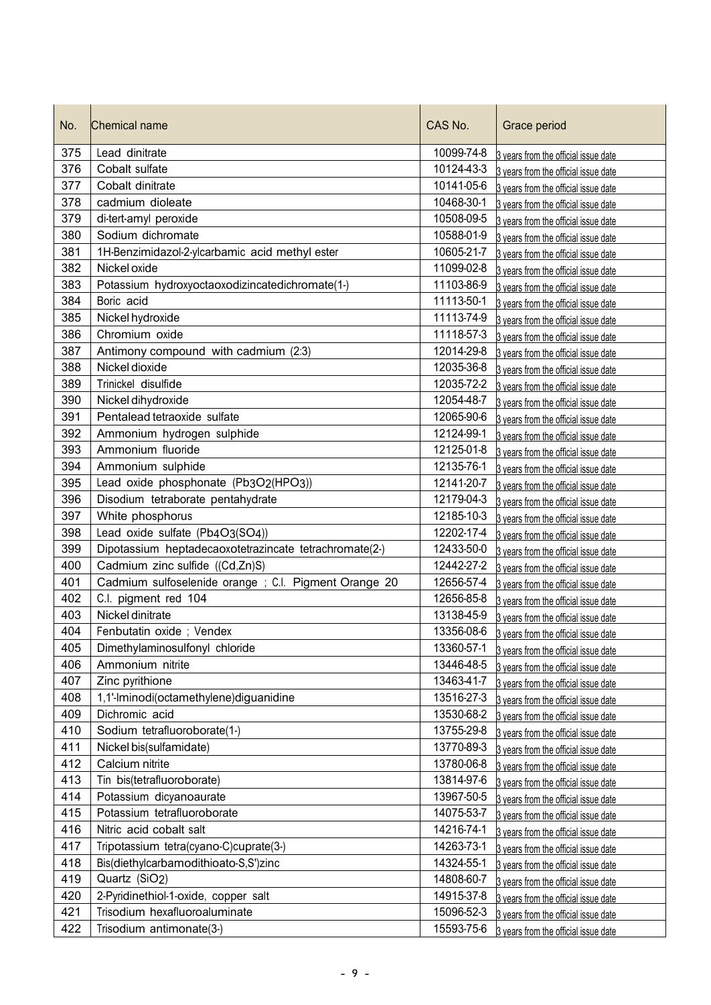| No. | <b>Chemical name</b>                                   | CAS No.    | Grace period                         |
|-----|--------------------------------------------------------|------------|--------------------------------------|
| 375 | Lead dinitrate                                         | 10099-74-8 | 3 years from the official issue date |
| 376 | Cobalt sulfate                                         | 10124-43-3 | 3 years from the official issue date |
| 377 | Cobalt dinitrate                                       | 10141-05-6 | 3 years from the official issue date |
| 378 | cadmium dioleate                                       | 10468-30-1 | 3 years from the official issue date |
| 379 | di-tert-amyl peroxide                                  | 10508-09-5 | 3 years from the official issue date |
| 380 | Sodium dichromate                                      | 10588-01-9 | 3 years from the official issue date |
| 381 | 1H-Benzimidazol-2-ylcarbamic acid methyl ester         | 10605-21-7 | 3 years from the official issue date |
| 382 | Nickel oxide                                           | 11099-02-8 | 3 years from the official issue date |
| 383 | Potassium hydroxyoctaoxodizincatedichromate(1-)        | 11103-86-9 | 3 years from the official issue date |
| 384 | Boric acid                                             | 11113-50-1 | 3 years from the official issue date |
| 385 | Nickel hydroxide                                       | 11113-74-9 | 3 years from the official issue date |
| 386 | Chromium oxide                                         | 11118-57-3 | 3 years from the official issue date |
| 387 | Antimony compound with cadmium (2:3)                   | 12014-29-8 | 3 years from the official issue date |
| 388 | Nickel dioxide                                         | 12035-36-8 | 3 years from the official issue date |
| 389 | Trinickel disulfide                                    | 12035-72-2 | 3 years from the official issue date |
| 390 | Nickel dihydroxide                                     | 12054-48-7 | 3 years from the official issue date |
| 391 | Pentalead tetraoxide sulfate                           | 12065-90-6 | 3 years from the official issue date |
| 392 | Ammonium hydrogen sulphide                             | 12124-99-1 | 3 years from the official issue date |
| 393 | Ammonium fluoride                                      | 12125-01-8 | 3 years from the official issue date |
| 394 | Ammonium sulphide                                      | 12135-76-1 | 3 years from the official issue date |
| 395 | Lead oxide phosphonate (Pb3O2(HPO3))                   | 12141-20-7 | 3 years from the official issue date |
| 396 | Disodium tetraborate pentahydrate                      | 12179-04-3 | 3 years from the official issue date |
| 397 | White phosphorus                                       | 12185-10-3 | 3 years from the official issue date |
| 398 | Lead oxide sulfate (Pb4O3(SO4))                        | 12202-17-4 | 3 years from the official issue date |
| 399 | Dipotassium heptadecaoxotetrazincate tetrachromate(2-) | 12433-50-0 | 3 vears from the official issue date |
| 400 | Cadmium zinc sulfide ((Cd,Zn)S)                        | 12442-27-2 | 3 years from the official issue date |
| 401 | Cadmium sulfoselenide orange ; C.I. Pigment Orange 20  | 12656-57-4 | 3 years from the official issue date |
| 402 | C.I. pigment red 104                                   | 12656-85-8 | 3 years from the official issue date |
| 403 | Nickel dinitrate                                       | 13138-45-9 | 3 years from the official issue date |
| 404 | Fenbutatin oxide ; Vendex                              | 13356-08-6 | 3 years from the official issue date |
| 405 | Dimethylaminosulfonyl chloride                         | 13360-57-1 | 3 years from the official issue date |
| 406 | Ammonium nitrite                                       | 13446-48-5 | 3 years from the official issue date |
| 407 | Zinc pyrithione                                        | 13463-41-7 | 3 years from the official issue date |
| 408 | 1,1'-Iminodi(octamethylene)diguanidine                 | 13516-27-3 | 3 years from the official issue date |
| 409 | Dichromic acid                                         | 13530-68-2 | 3 years from the official issue date |
| 410 | Sodium tetrafluoroborate(1-)                           | 13755-29-8 | 3 years from the official issue date |
| 411 | Nickel bis(sulfamidate)                                | 13770-89-3 | 3 years from the official issue date |
| 412 | Calcium nitrite                                        | 13780-06-8 | 3 years from the official issue date |
| 413 | Tin bis(tetrafluoroborate)                             | 13814-97-6 | 3 years from the official issue date |
| 414 | Potassium dicyanoaurate                                | 13967-50-5 | 3 years from the official issue date |
| 415 | Potassium tetrafluoroborate                            | 14075-53-7 | 3 years from the official issue date |
| 416 | Nitric acid cobalt salt                                | 14216-74-1 | 3 years from the official issue date |
| 417 | Tripotassium tetra(cyano-C)cuprate(3-)                 | 14263-73-1 | 3 years from the official issue date |
| 418 | Bis(diethylcarbamodithioato-S,S')zinc                  | 14324-55-1 | 3 years from the official issue date |
| 419 | Quartz (SiO2)                                          | 14808-60-7 | 3 years from the official issue date |
| 420 | 2-Pyridinethiol-1-oxide, copper salt                   | 14915-37-8 | 3 years from the official issue date |
| 421 | Trisodium hexafluoroaluminate                          | 15096-52-3 | 3 years from the official issue date |
| 422 | Trisodium antimonate(3-)                               | 15593-75-6 | 3 years from the official issue date |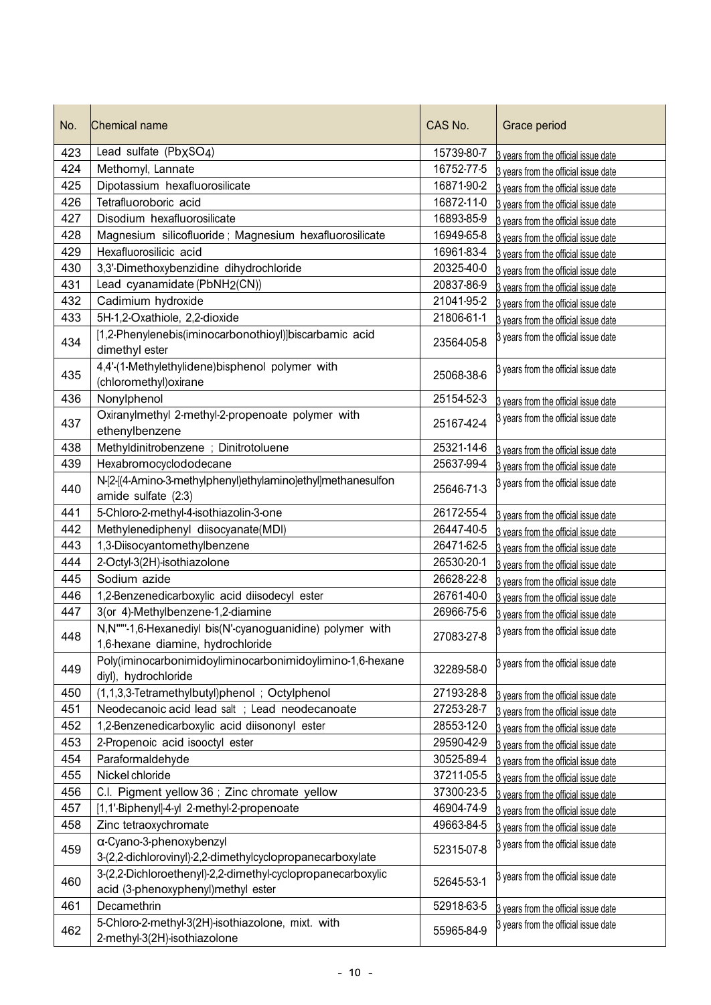| No. | <b>Chemical name</b>                                                                 | CAS No.    | Grace period                         |
|-----|--------------------------------------------------------------------------------------|------------|--------------------------------------|
| 423 | Lead sulfate (PbxSO4)                                                                | 15739-80-7 | 3 years from the official issue date |
| 424 | Methomyl, Lannate                                                                    | 16752-77-5 | 3 years from the official issue date |
| 425 | Dipotassium hexafluorosilicate                                                       | 16871-90-2 | 3 years from the official issue date |
| 426 | Tetrafluoroboric acid                                                                | 16872-11-0 | 3 years from the official issue date |
| 427 | Disodium hexafluorosilicate                                                          | 16893-85-9 | 3 years from the official issue date |
| 428 | Magnesium silicofluoride ; Magnesium hexafluorosilicate                              | 16949-65-8 | 3 years from the official issue date |
| 429 | Hexafluorosilicic acid                                                               | 16961-83-4 | 3 years from the official issue date |
| 430 | 3,3'-Dimethoxybenzidine dihydrochloride                                              | 20325-40-0 | 3 years from the official issue date |
| 431 | Lead cyanamidate (PbNH2(CN))                                                         | 20837-86-9 | 3 years from the official issue date |
| 432 | Cadimium hydroxide                                                                   | 21041-95-2 | 3 years from the official issue date |
| 433 | 5H-1,2-Oxathiole, 2,2-dioxide                                                        | 21806-61-1 | 3 years from the official issue date |
| 434 | [1,2-Phenylenebis(iminocarbonothioyl)]biscarbamic acid<br>dimethyl ester             | 23564-05-8 | 3 years from the official issue date |
| 435 | 4,4'-(1-Methylethylidene)bisphenol polymer with<br>(chloromethyl) oxirane            | 25068-38-6 | 3 years from the official issue date |
| 436 | Nonylphenol                                                                          | 25154-52-3 | 3 years from the official issue date |
| 437 | Oxiranylmethyl 2-methyl-2-propenoate polymer with<br>ethenylbenzene                  | 25167-42-4 | 3 years from the official issue date |
| 438 | Methyldinitrobenzene ; Dinitrotoluene                                                | 25321-14-6 | 3 years from the official issue date |
| 439 | Hexabromocyclododecane                                                               | 25637-99-4 | 3 years from the official issue date |
| 440 | N-[2-[(4-Amino-3-methylphenyl)ethylamino]ethyl]methanesulfon<br>amide sulfate (2:3)  | 25646-71-3 | 3 years from the official issue date |
| 441 | 5-Chloro-2-methyl-4-isothiazolin-3-one                                               | 26172-55-4 | 3 years from the official issue date |
| 442 | Methylenediphenyl diisocyanate(MDI)                                                  | 26447-40-5 | 3 years from the official issue date |
| 443 | 1,3-Diisocyantomethylbenzene                                                         | 26471-62-5 | 3 years from the official issue date |
| 444 | 2-Octyl-3(2H)-isothiazolone                                                          | 26530-20-1 | 3 years from the official issue date |
| 445 | Sodium azide                                                                         | 26628-22-8 | 3 years from the official issue date |
| 446 | 1,2-Benzenedicarboxylic acid diisodecyl ester                                        | 26761-40-0 | 3 years from the official issue date |
| 447 | 3(or 4)-Methylbenzene-1,2-diamine                                                    | 26966-75-6 | 3 years from the official issue date |
|     | N,N""'-1,6-Hexanediyl bis(N'-cyanoguanidine) polymer with                            |            | 3 years from the official issue date |
| 448 | 1,6-hexane diamine, hydrochloride                                                    | 27083-27-8 |                                      |
| 449 | Poly(iminocarbonimidoyliminocarbonimidoylimino-1,6-hexane<br>diyl), hydrochloride    | 32289-58-0 | 3 years from the official issue date |
| 450 | (1,1,3,3-Tetramethylbutyl)phenol; Octylphenol                                        | 27193-28-8 | 3 years from the official issue date |
| 451 | Neodecanoic acid lead salt ; Lead neodecanoate                                       | 27253-28-7 | 3 years from the official issue date |
| 452 | 1,2-Benzenedicarboxylic acid diisononyl ester                                        | 28553-12-0 | 3 years from the official issue date |
| 453 | 2-Propenoic acid isooctyl ester                                                      | 29590-42-9 | 3 years from the official issue date |
| 454 | Paraformaldehyde                                                                     | 30525-89-4 | 3 years from the official issue date |
| 455 | Nickel chloride                                                                      | 37211-05-5 | 3 years from the official issue date |
| 456 | C.I. Pigment yellow 36 ; Zinc chromate yellow                                        | 37300-23-5 | 3 years from the official issue date |
| 457 | [1,1'-Biphenyl]-4-yl 2-methyl-2-propenoate                                           | 46904-74-9 | 3 years from the official issue date |
| 458 | Zinc tetraoxychromate                                                                | 49663-84-5 | 3 years from the official issue date |
| 459 | a-Cyano-3-phenoxybenzyl<br>3-(2,2-dichlorovinyl)-2,2-dimethylcyclopropanecarboxylate | 52315-07-8 | 3 years from the official issue date |
| 460 | 3-(2,2-Dichloroethenyl)-2,2-dimethyl-cyclopropanecarboxylic                          | 52645-53-1 | 3 years from the official issue date |
|     | acid (3-phenoxyphenyl)methyl ester<br>Decamethrin                                    |            |                                      |
| 461 |                                                                                      | 52918-63-5 | 3 years from the official issue date |
| 462 | 5-Chloro-2-methyl-3(2H)-isothiazolone, mixt. with<br>2-methyl-3(2H)-isothiazolone    | 55965-84-9 | 3 years from the official issue date |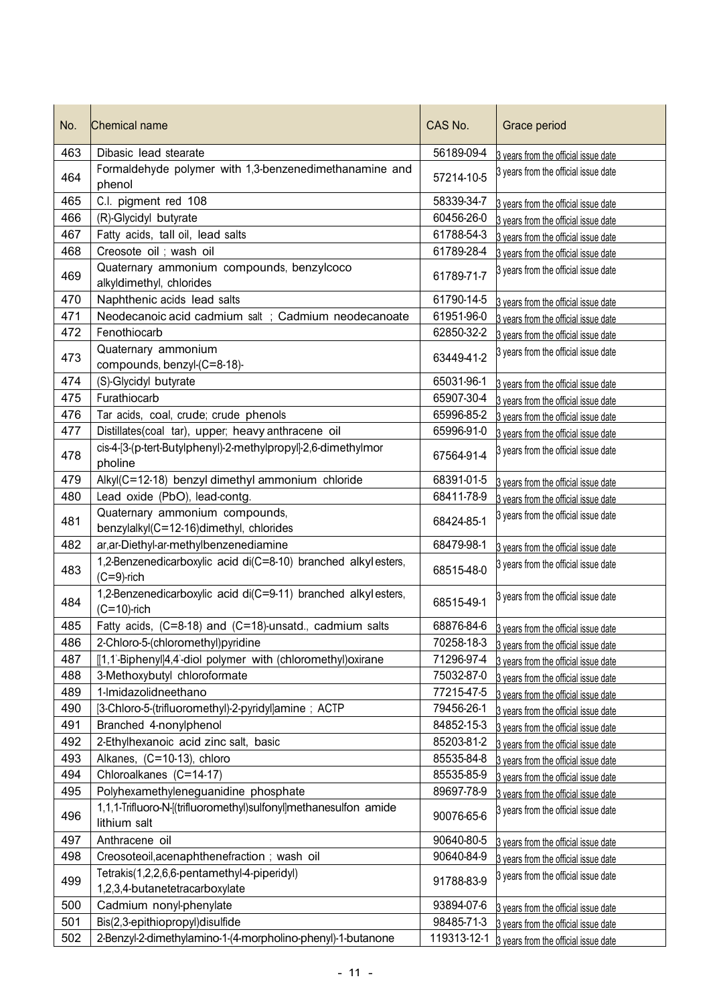| No. | Chemical name                                                                    | CAS No.     | Grace period                         |
|-----|----------------------------------------------------------------------------------|-------------|--------------------------------------|
| 463 | Dibasic lead stearate                                                            | 56189-09-4  | 3 years from the official issue date |
| 464 | Formaldehyde polymer with 1,3-benzenedimethanamine and<br>phenol                 | 57214-10-5  | 3 years from the official issue date |
| 465 | C.I. pigment red 108                                                             | 58339-34-7  | 3 years from the official issue date |
| 466 | (R)-Glycidyl butyrate                                                            | 60456-26-0  | 3 years from the official issue date |
| 467 | Fatty acids, tall oil, lead salts                                                | 61788-54-3  | 3 years from the official issue date |
| 468 | Creosote oil ; wash oil                                                          | 61789-28-4  | 3 years from the official issue date |
| 469 | Quaternary ammonium compounds, benzylcoco<br>alkyldimethyl, chlorides            | 61789-71-7  | 3 years from the official issue date |
| 470 | Naphthenic acids lead salts                                                      | 61790-14-5  | 3 years from the official issue date |
| 471 | Neodecanoic acid cadmium salt ; Cadmium neodecanoate                             | 61951-96-0  | 3 years from the official issue date |
| 472 | Fenothiocarb                                                                     | 62850-32-2  | 3 years from the official issue date |
| 473 | Quaternary ammonium                                                              |             | 3 years from the official issue date |
|     | compounds, benzyl-(C=8-18)-                                                      | 63449-41-2  |                                      |
| 474 | (S)-Glycidyl butyrate                                                            | 65031-96-1  | 3 years from the official issue date |
| 475 | Furathiocarb                                                                     | 65907-30-4  | 3 years from the official issue date |
| 476 | Tar acids, coal, crude; crude phenols                                            | 65996-85-2  | 3 years from the official issue date |
| 477 | Distillates(coal tar), upper; heavy anthracene oil                               | 65996-91-0  | 3 years from the official issue date |
| 478 | cis-4-[3-(p-tert-Butylphenyl)-2-methylpropyl]-2,6-dimethylmor<br>pholine         | 67564-91-4  | 3 years from the official issue date |
| 479 | Alkyl(C=12-18) benzyl dimethyl ammonium chloride                                 | 68391-01-5  | 3 years from the official issue date |
| 480 | Lead oxide (PbO), lead-contg.                                                    | 68411-78-9  | 3 years from the official issue date |
| 481 | Quaternary ammonium compounds,<br>benzylalkyl(C=12-16)dimethyl, chlorides        | 68424-85-1  | 3 years from the official issue date |
| 482 | ar, ar-Diethyl-ar-methylbenzenediamine                                           | 68479-98-1  | 3 years from the official issue date |
| 483 | 1,2-Benzenedicarboxylic acid di(C=8-10) branched alkylesters,<br>$(C=9)$ -rich   | 68515-48-0  | 3 years from the official issue date |
| 484 | 1,2-Benzenedicarboxylic acid di(C=9-11) branched alkylesters,<br>$(C=10)$ -rich  | 68515-49-1  | 3 years from the official issue date |
| 485 | Fatty acids, (C=8-18) and (C=18)-unsatd., cadmium salts                          | 68876-84-6  | 3 years from the official issue date |
| 486 | 2-Chloro-5-(chloromethyl)pyridine                                                | 70258-18-3  | 3 years from the official issue date |
| 487 | [1,1'-Biphenyl]4,4'-diol polymer with (chloromethyl) oxirane                     | 71296-97-4  | 3 years from the official issue date |
| 488 | 3-Methoxybutyl chloroformate                                                     | 75032-87-0  | 3 years from the official issue date |
| 489 | 1-Imidazolidneethano                                                             | 77215-47-5  | 3 years from the official issue date |
| 490 | [3-Chloro-5-(trifluoromethyl)-2-pyridyl amine; ACTP                              | 79456-26-1  | 3 years from the official issue date |
| 491 | Branched 4-nonylphenol                                                           | 84852-15-3  | 3 years from the official issue date |
| 492 | 2-Ethylhexanoic acid zinc salt, basic                                            | 85203-81-2  | 3 years from the official issue date |
| 493 | Alkanes, (C=10-13), chloro                                                       | 85535-84-8  | 3 years from the official issue date |
| 494 | Chloroalkanes (C=14-17)                                                          | 85535-85-9  | 3 years from the official issue date |
| 495 | Polyhexamethyleneguanidine phosphate                                             | 89697-78-9  | 3 years from the official issue date |
| 496 | 1,1,1-Trifluoro-N-[(trifluoromethyl)sulfonyl]methanesulfon amide<br>lithium salt | 90076-65-6  | 3 years from the official issue date |
| 497 | Anthracene oil                                                                   | 90640-80-5  | 3 years from the official issue date |
| 498 | Creosoteoil, acenaphthenefraction; wash oil                                      | 90640-84-9  | 3 years from the official issue date |
|     | Tetrakis(1,2,2,6,6-pentamethyl-4-piperidyl)                                      |             | 3 years from the official issue date |
| 499 | 1,2,3,4-butanetetracarboxylate                                                   | 91788-83-9  |                                      |
| 500 | Cadmium nonyl-phenylate                                                          | 93894-07-6  | 3 years from the official issue date |
| 501 | Bis(2,3-epithiopropyl)disulfide                                                  | 98485-71-3  | 3 years from the official issue date |
| 502 | 2-Benzyl-2-dimethylamino-1-(4-morpholino-phenyl)-1-butanone                      | 119313-12-1 | 3 years from the official issue date |